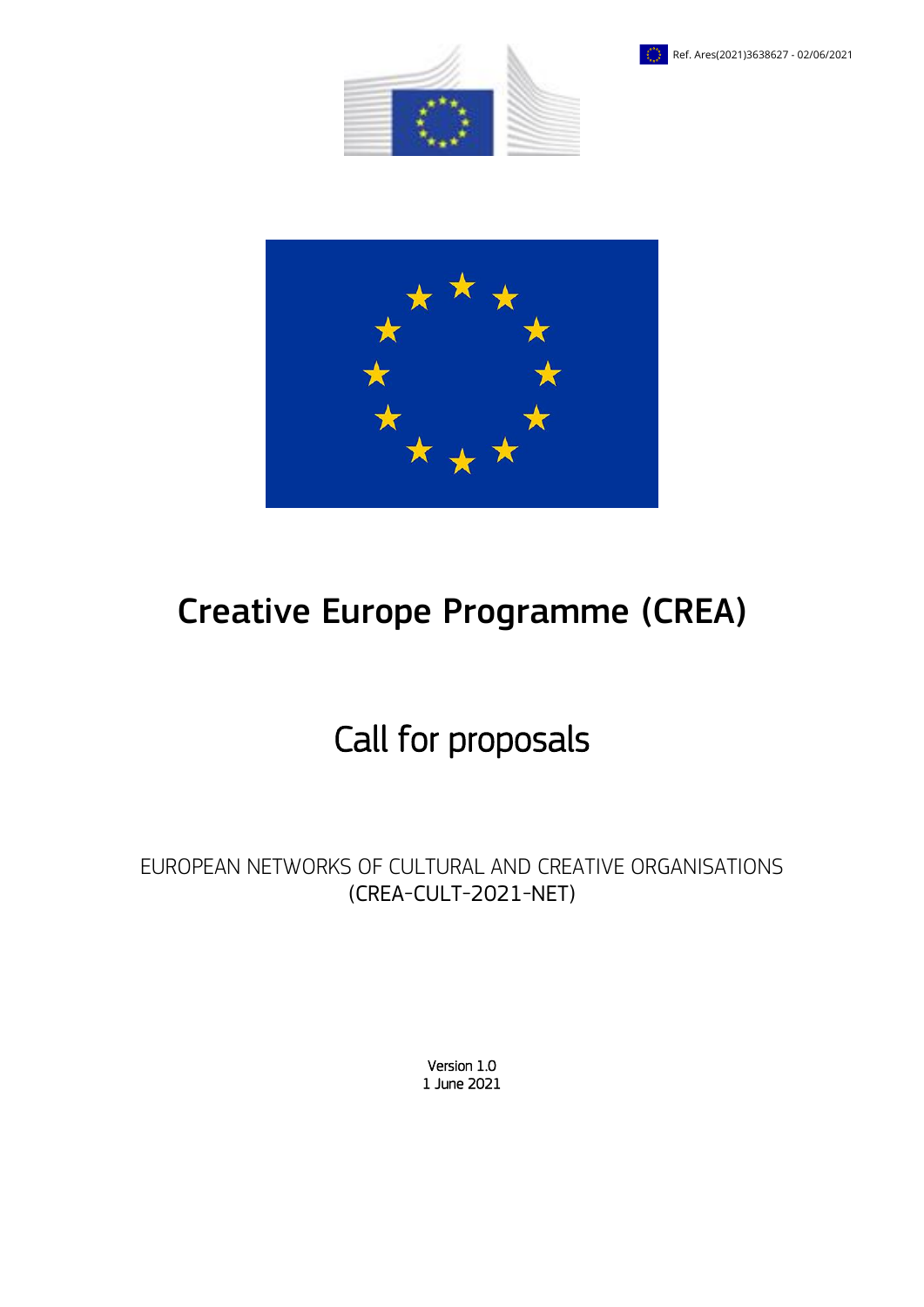





# Creative Europe Programme (CREA)

# Call for proposals

EUROPEAN NETWORKS OF CULTURAL AND CREATIVE ORGANISATIONS (CREA-CULT-2021-NET)

> Version 1.0 1 June 2021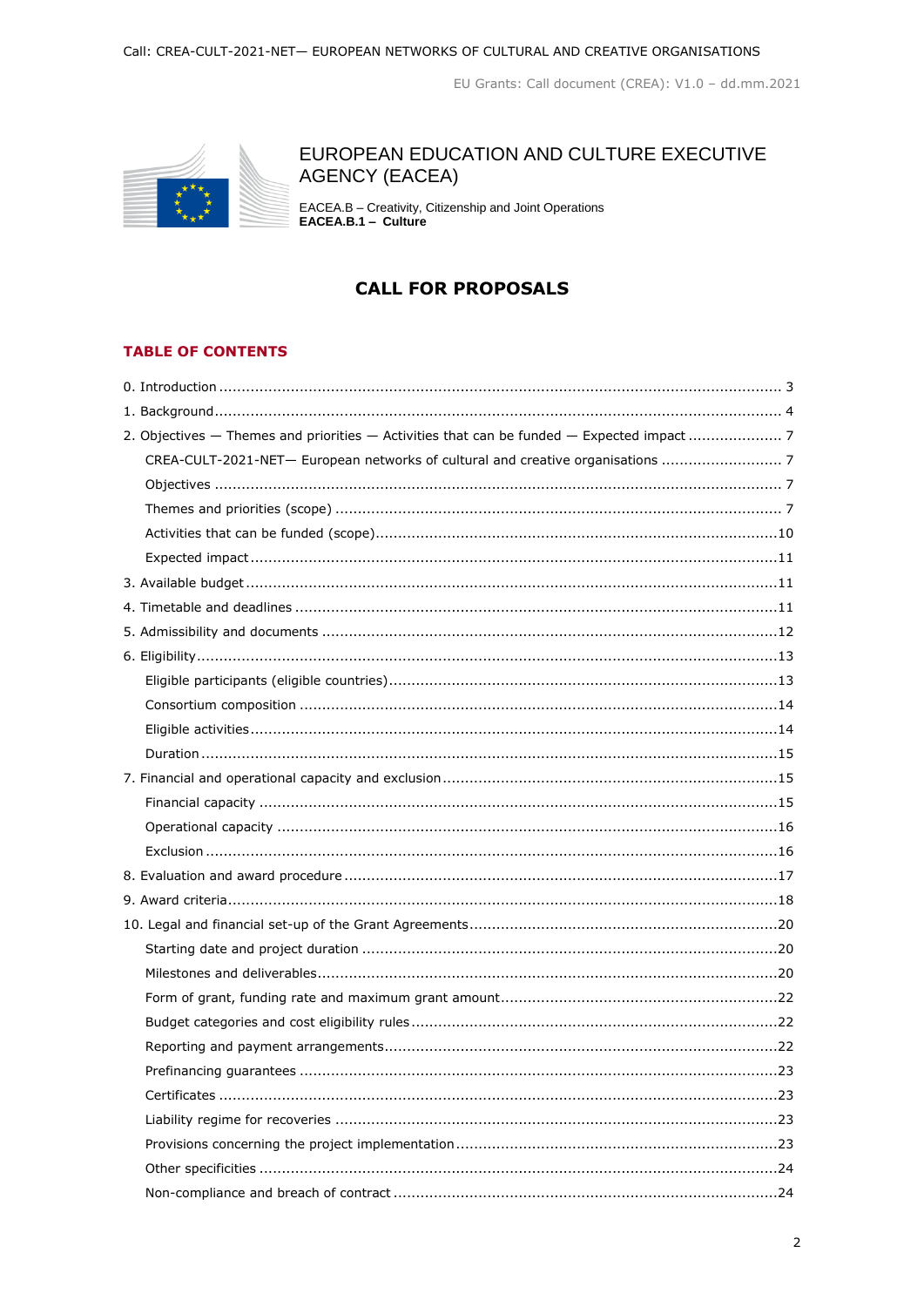

# EUROPEAN EDUCATION AND CULTURE EXECUTIVE **AGENCY (EACEA)**

EACEA.B - Creativity, Citizenship and Joint Operations<br>EACEA.B.1 - Culture

# **CALL FOR PROPOSALS**

# **TABLE OF CONTENTS**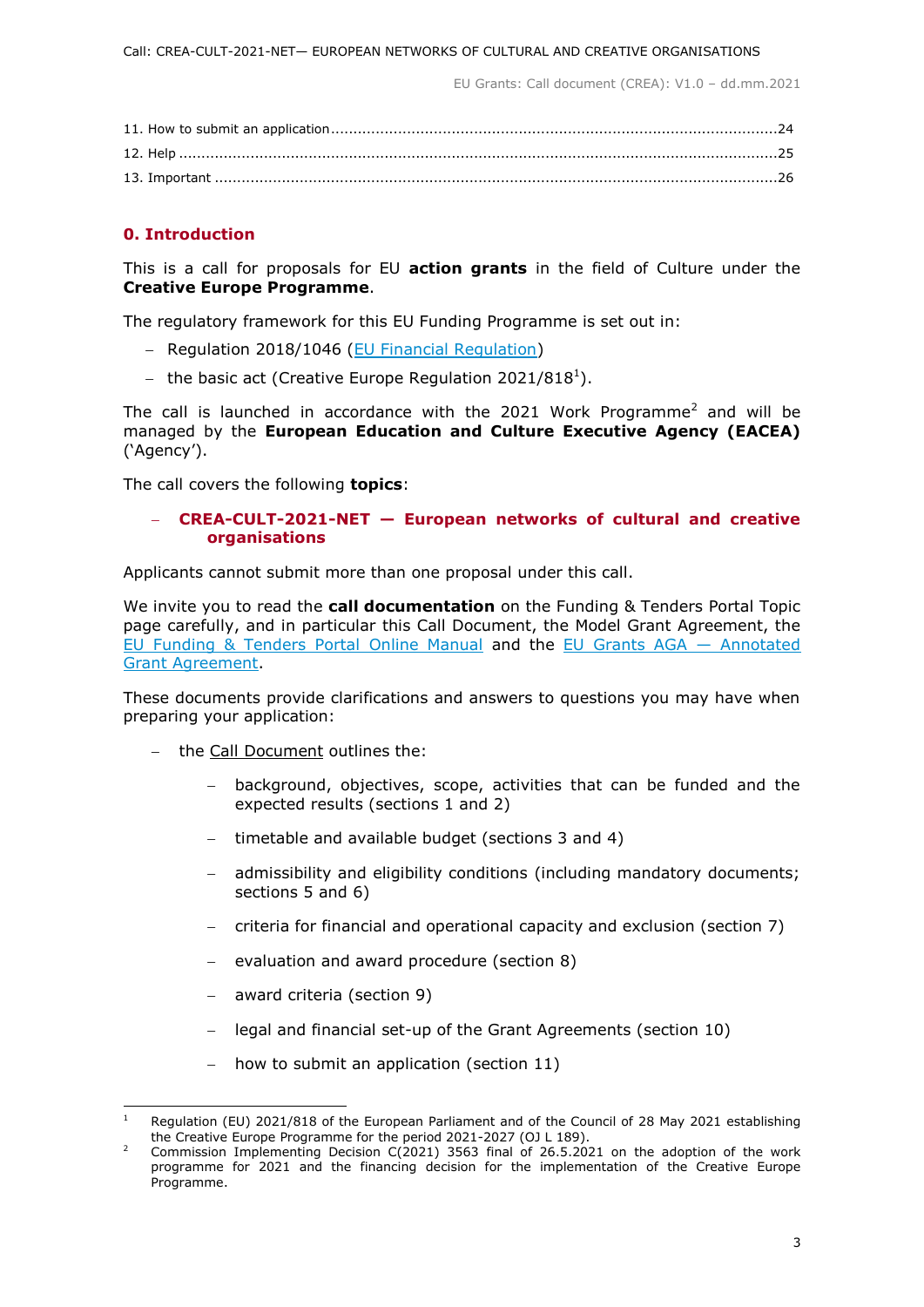# <span id="page-2-0"></span>**0. Introduction**

This is a call for proposals for EU **action grants** in the field of Culture under the **Creative Europe Programme**.

The regulatory framework for this EU Funding Programme is set out in:

- Regulation 2018/1046 [\(EU Financial Regulation\)](https://eur-lex.europa.eu/legal-content/EN/ALL/?uri=CELEX:32018R1046&qid=1535046024012)
- the basic act (Creative Europe Regulation 2021/818<sup>1</sup>).

The call is launched in accordance with the 2021 Work Programme<sup>2</sup> and will be managed by the **European Education and Culture Executive Agency (EACEA)** ('Agency').

The call covers the following **topics**:

# **CREA-CULT-2021-NET — European networks of cultural and creative organisations**

Applicants cannot submit more than one proposal under this call.

We invite you to read the **call documentation** on the Funding & Tenders Portal Topic page carefully, and in particular this Call Document, the Model Grant Agreement, the [EU Funding & Tenders Portal Online Manual](https://ec.europa.eu/info/funding-tenders/opportunities/docs/2021-2027/common/guidance/om_en.pdf) and the [EU Grants AGA](https://ec.europa.eu/info/funding-tenders/opportunities/docs/2021-2027/common/guidance/aga_en.pdf) — Annotated [Grant Agreement.](https://ec.europa.eu/info/funding-tenders/opportunities/docs/2021-2027/common/guidance/aga_en.pdf)

These documents provide clarifications and answers to questions you may have when preparing your application:

- the Call Document outlines the:
	- background, objectives, scope, activities that can be funded and the expected results (sections 1 and 2)
	- timetable and available budget (sections 3 and 4)
	- admissibility and eligibility conditions (including mandatory documents; sections 5 and 6)
	- criteria for financial and operational capacity and exclusion (section 7)
	- evaluation and award procedure (section 8)
	- award criteria (section 9)
	- legal and financial set-up of the Grant Agreements (section 10)
	- how to submit an application (section 11)

 $\mathbf{I}$ Regulation (EU) 2021/818 of the European Parliament and of the Council of 28 May 2021 establishing the Creative Europe Programme for the period 2021-2027 (OJ L 189).

<sup>&</sup>lt;sup>2</sup> Commission Implementing Decision C(2021) 3563 final of 26.5.2021 on the adoption of the work programme for 2021 and the financing decision for the implementation of the Creative Europe Programme.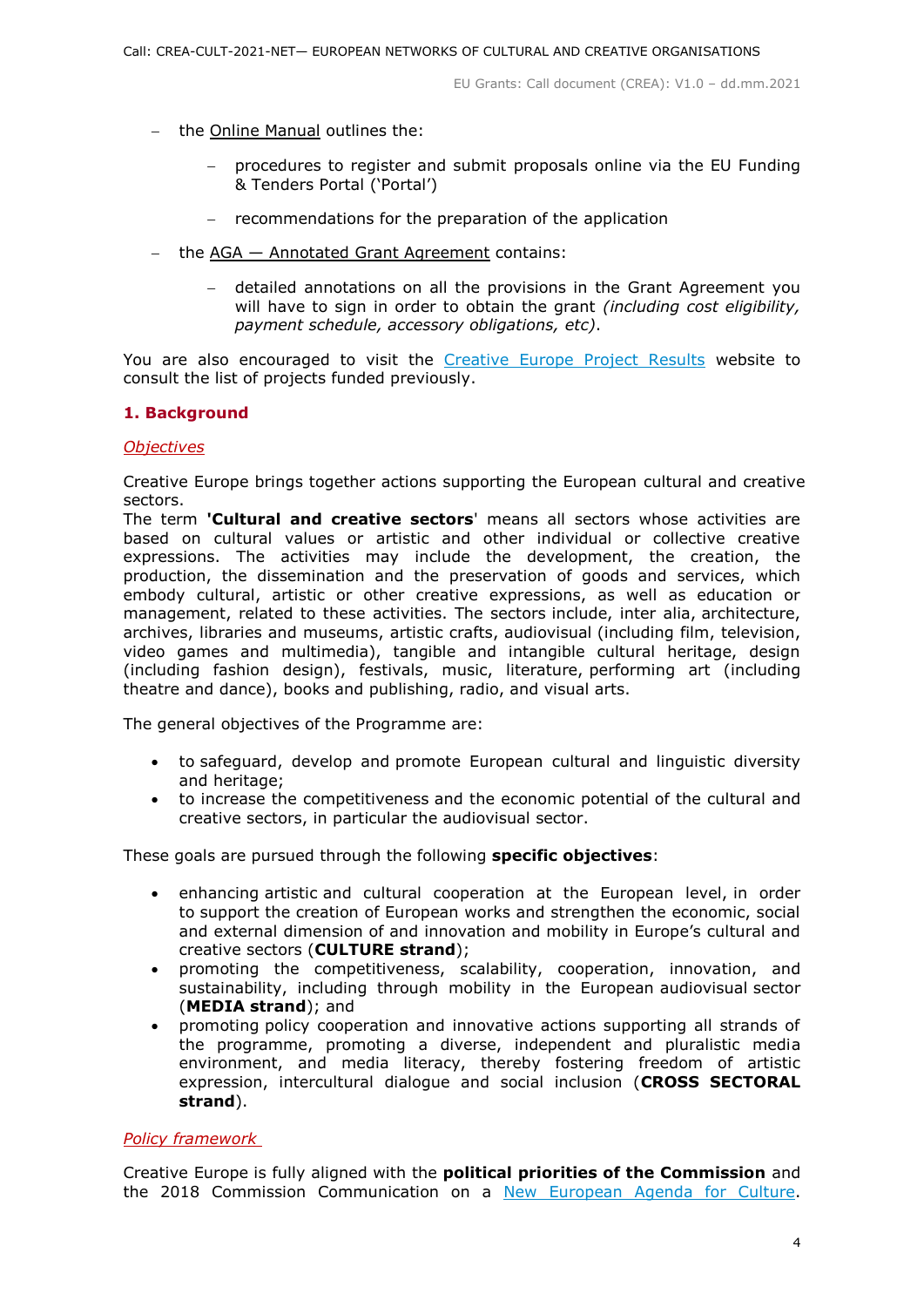- $-$  the Online Manual outlines the:
	- procedures to register and submit proposals online via the EU Funding & Tenders Portal ('Portal')
	- recommendations for the preparation of the application
- the AGA Annotated Grant Agreement contains:
	- detailed annotations on all the provisions in the Grant Agreement you will have to sign in order to obtain the grant *(including cost eligibility, payment schedule, accessory obligations, etc)*.

You are also encouraged to visit the [Creative Europe Project Results](https://ec.europa.eu/programmes/creative-europe/projects/) website to consult the list of projects funded previously.

# <span id="page-3-0"></span>**1. Background**

# *Objectives*

Creative Europe brings together actions supporting the European cultural and creative sectors.

The term **'Cultural and creative sectors**' means all sectors whose activities are based on cultural values or artistic and other individual or collective creative expressions. The activities may include the development, the creation, the production, the dissemination and the preservation of goods and services, which embody cultural, artistic or other creative expressions, as well as education or management, related to these activities. The sectors include, inter alia, architecture, archives, libraries and museums, artistic crafts, audiovisual (including film, television, video games and multimedia), tangible and intangible cultural heritage, design (including fashion design), festivals, music, literature, performing art (including theatre and dance), books and publishing, radio, and visual arts.

The general objectives of the Programme are:

- to safeguard, develop and promote European cultural and linguistic diversity and heritage;
- to increase the competitiveness and the economic potential of the cultural and creative sectors, in particular the audiovisual sector.

These goals are pursued through the following **specific objectives**:

- enhancing artistic and cultural cooperation at the European level, in order to support the creation of European works and strengthen the economic, social and external dimension of and innovation and mobility in Europe's cultural and creative sectors (**CULTURE strand**);
- promoting the competitiveness, scalability, cooperation, innovation, and sustainability, including through mobility in the European audiovisual sector (**MEDIA strand**); and
- promoting policy cooperation and innovative actions supporting all strands of the programme, promoting a diverse, independent and pluralistic media environment, and media literacy, thereby fostering freedom of artistic expression, intercultural dialogue and social inclusion (**CROSS SECTORAL strand**).

# *Policy framework*

Creative Europe is fully aligned with the **political priorities of the Commission** and the 2018 Commission Communication on a [New European Agenda for Culture.](https://eur-lex.europa.eu/legal-content/EN/TXT/?uri=COM%3A2018%3A267%3AFIN)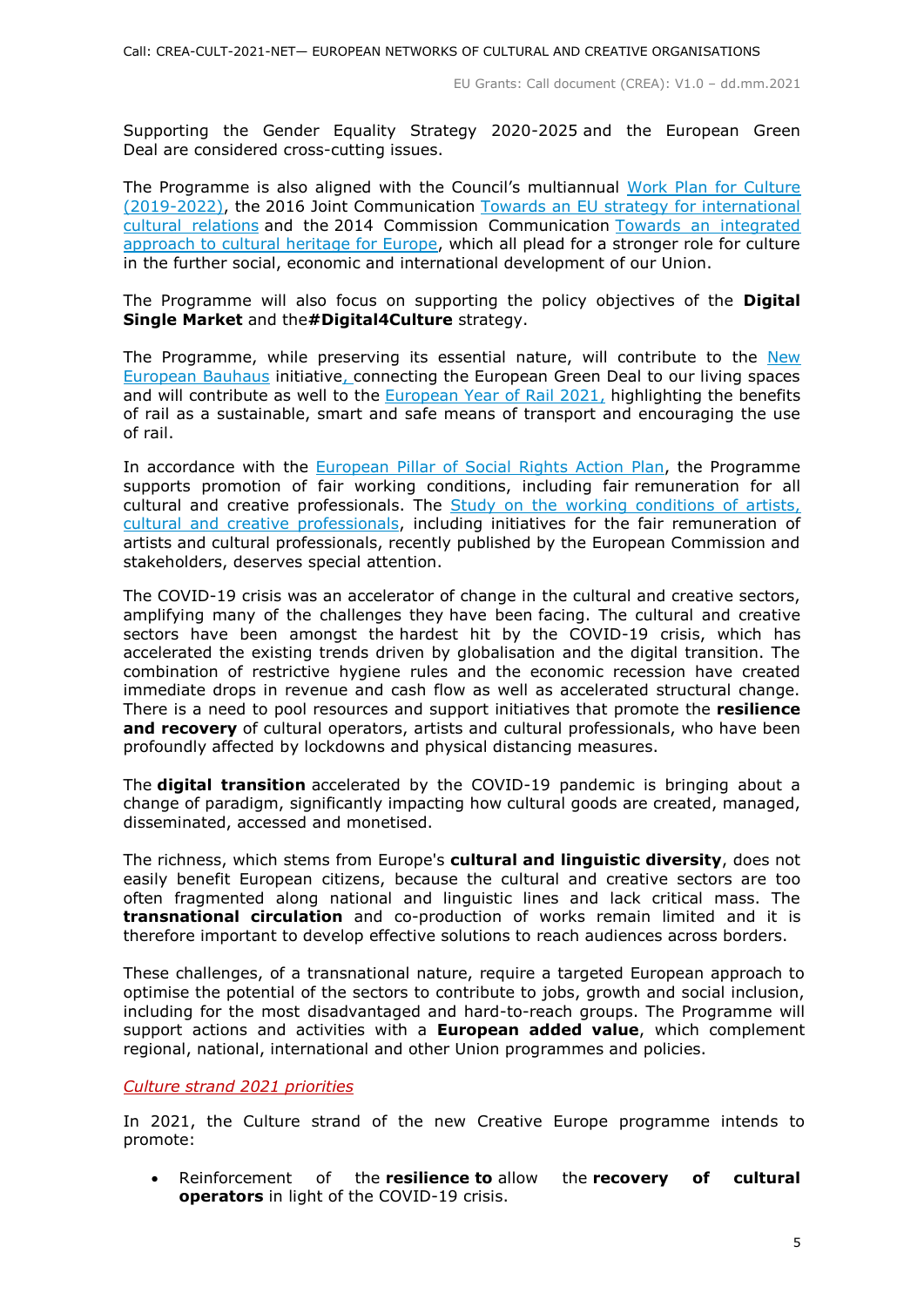Supporting the Gender Equality Strategy 2020-2025 and the European Green Deal are considered cross-cutting issues.

The Programme is also aligned with the Council's multiannual [Work Plan for Culture](https://eur-lex.europa.eu/legal-content/EN/TXT/?uri=CELEX:52018XG1221(01))  [\(2019-2022\),](https://eur-lex.europa.eu/legal-content/EN/TXT/?uri=CELEX:52018XG1221(01)) the 2016 Joint Communication [Towards an EU strategy for international](https://ec.europa.eu/culture/policies/international-cultural-relations)  [cultural relations](https://ec.europa.eu/culture/policies/international-cultural-relations) and the 2014 Commission Communication [Towards an integrated](https://ec.europa.eu/assets/eac/culture/library/publications/2014-heritage-communication_en.pdf)  [approach to cultural heritage for Europe,](https://ec.europa.eu/assets/eac/culture/library/publications/2014-heritage-communication_en.pdf) which all plead for a stronger role for culture in the further social, economic and international development of our Union.

The Programme will also focus on supporting the policy objectives of the **Digital Single Market** and the**#Digital4Culture** strategy.

The Programme, while preserving its essential nature, will contribute to the [New](https://europa.eu/new-european-bauhaus/about/about-initiative_en)  [European Bauhaus](https://europa.eu/new-european-bauhaus/about/about-initiative_en) initiative, connecting the European Green Deal to our living spaces and will contribute as well to the European Year of Rail  $2021$ , highlighting the benefits of rail as a sustainable, smart and safe means of transport and encouraging the use of rail.

In accordance with the [European Pillar of Social Rights](https://ec.europa.eu/info/strategy/priorities-2019-2024/economy-works-people/jobs-growth-and-investment/european-pillar-social-rights/european-pillar-social-rights-action-plan_en) Action Plan, the Programme supports promotion of fair working conditions, including fair remuneration for all cultural and creative professionals. The [Study on the working conditions of artists,](https://ec.europa.eu/culture/news/study-artists-working-conditions-published)  [cultural and creative professionals,](https://ec.europa.eu/culture/news/study-artists-working-conditions-published) including initiatives for the fair remuneration of artists and cultural professionals, recently published by the European Commission and stakeholders, deserves special attention.

The COVID-19 crisis was an accelerator of change in the cultural and creative sectors, amplifying many of the challenges they have been facing. The cultural and creative sectors have been amongst the hardest hit by the COVID-19 crisis, which has accelerated the existing trends driven by globalisation and the digital transition. The combination of restrictive hygiene rules and the economic recession have created immediate drops in revenue and cash flow as well as accelerated structural change. There is a need to pool resources and support initiatives that promote the **resilience and recovery** of cultural operators, artists and cultural professionals, who have been profoundly affected by lockdowns and physical distancing measures.

The **digital transition** accelerated by the COVID-19 pandemic is bringing about a change of paradigm, significantly impacting how cultural goods are created, managed, disseminated, accessed and monetised.

The richness, which stems from Europe's **cultural and linguistic diversity**, does not easily benefit European citizens, because the cultural and creative sectors are too often fragmented along national and linguistic lines and lack critical mass. The **transnational circulation** and co-production of works remain limited and it is therefore important to develop effective solutions to reach audiences across borders.

These challenges, of a transnational nature, require a targeted European approach to optimise the potential of the sectors to contribute to jobs, growth and social inclusion, including for the most disadvantaged and hard-to-reach groups. The Programme will support actions and activities with a **European added value**, which complement regional, national, international and other Union programmes and policies.

*Culture strand 2021 priorities* 

In 2021, the Culture strand of the new Creative Europe programme intends to promote:

 Reinforcement of the **resilience to** allow the **recovery of cultural operators** in light of the COVID-19 crisis.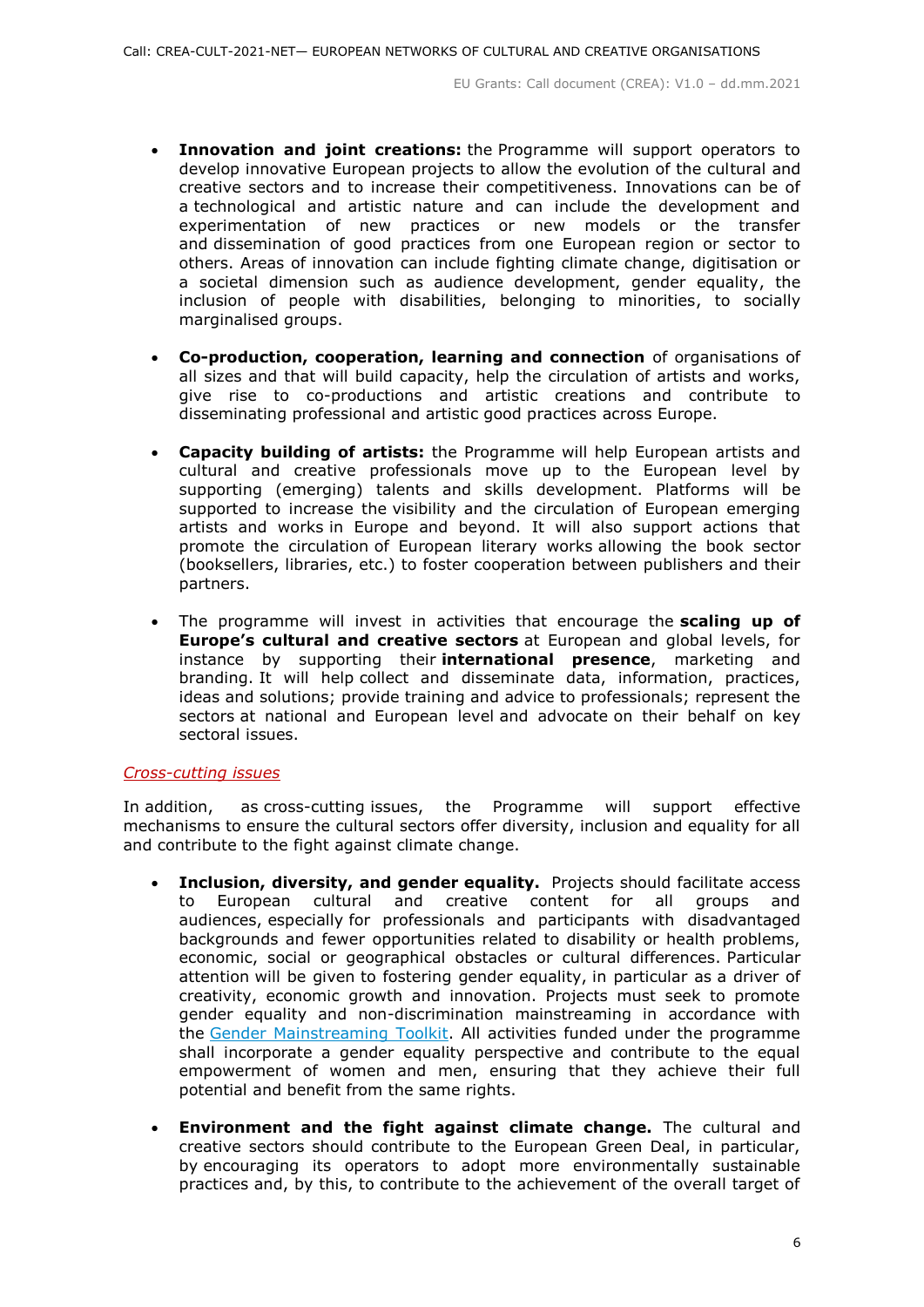- **Innovation and joint creations:** the Programme will support operators to develop innovative European projects to allow the evolution of the cultural and creative sectors and to increase their competitiveness. Innovations can be of a technological and artistic nature and can include the development and experimentation of new practices or new models or the transfer and dissemination of good practices from one European region or sector to others. Areas of innovation can include fighting climate change, digitisation or a societal dimension such as audience development, gender equality, the inclusion of people with disabilities, belonging to minorities, to socially marginalised groups.
- **Co-production, cooperation, learning and connection** of organisations of all sizes and that will build capacity, help the circulation of artists and works, give rise to co-productions and artistic creations and contribute to disseminating professional and artistic good practices across Europe.
- **Capacity building of artists:** the Programme will help European artists and cultural and creative professionals move up to the European level by supporting (emerging) talents and skills development. Platforms will be supported to increase the visibility and the circulation of European emerging artists and works in Europe and beyond. It will also support actions that promote the circulation of European literary works allowing the book sector (booksellers, libraries, etc.) to foster cooperation between publishers and their partners.
- The programme will invest in activities that encourage the **scaling up of Europe's cultural and creative sectors** at European and global levels, for instance by supporting their **international presence**, marketing and branding. It will help collect and disseminate data, information, practices, ideas and solutions; provide training and advice to professionals; represent the sectors at national and European level and advocate on their behalf on key sectoral issues.

#### *Cross-cutting issues*

In addition, as cross-cutting issues, the Programme will support effective mechanisms to ensure the cultural sectors offer diversity, inclusion and equality for all and contribute to the fight against climate change.

- **Inclusion, diversity, and gender equality.** Projects should facilitate access to European cultural and creative content for all groups and audiences, especially for professionals and participants with disadvantaged backgrounds and fewer opportunities related to disability or health problems, economic, social or geographical obstacles or cultural differences. Particular attention will be given to fostering gender equality, in particular as a driver of creativity, economic growth and innovation. Projects must seek to promote gender equality and non-discrimination mainstreaming in accordance with the [Gender Mainstreaming Toolkit.](https://eige.europa.eu/gender-mainstreaming/toolkits/gender-impact-assessment/guide-gender-impact-assessment) All activities funded under the programme shall incorporate a gender equality perspective and contribute to the equal empowerment of women and men, ensuring that they achieve their full potential and benefit from the same rights.
- **Environment and the fight against climate change.** The cultural and creative sectors should contribute to the European Green Deal, in particular, by encouraging its operators to adopt more environmentally sustainable practices and, by this, to contribute to the achievement of the overall target of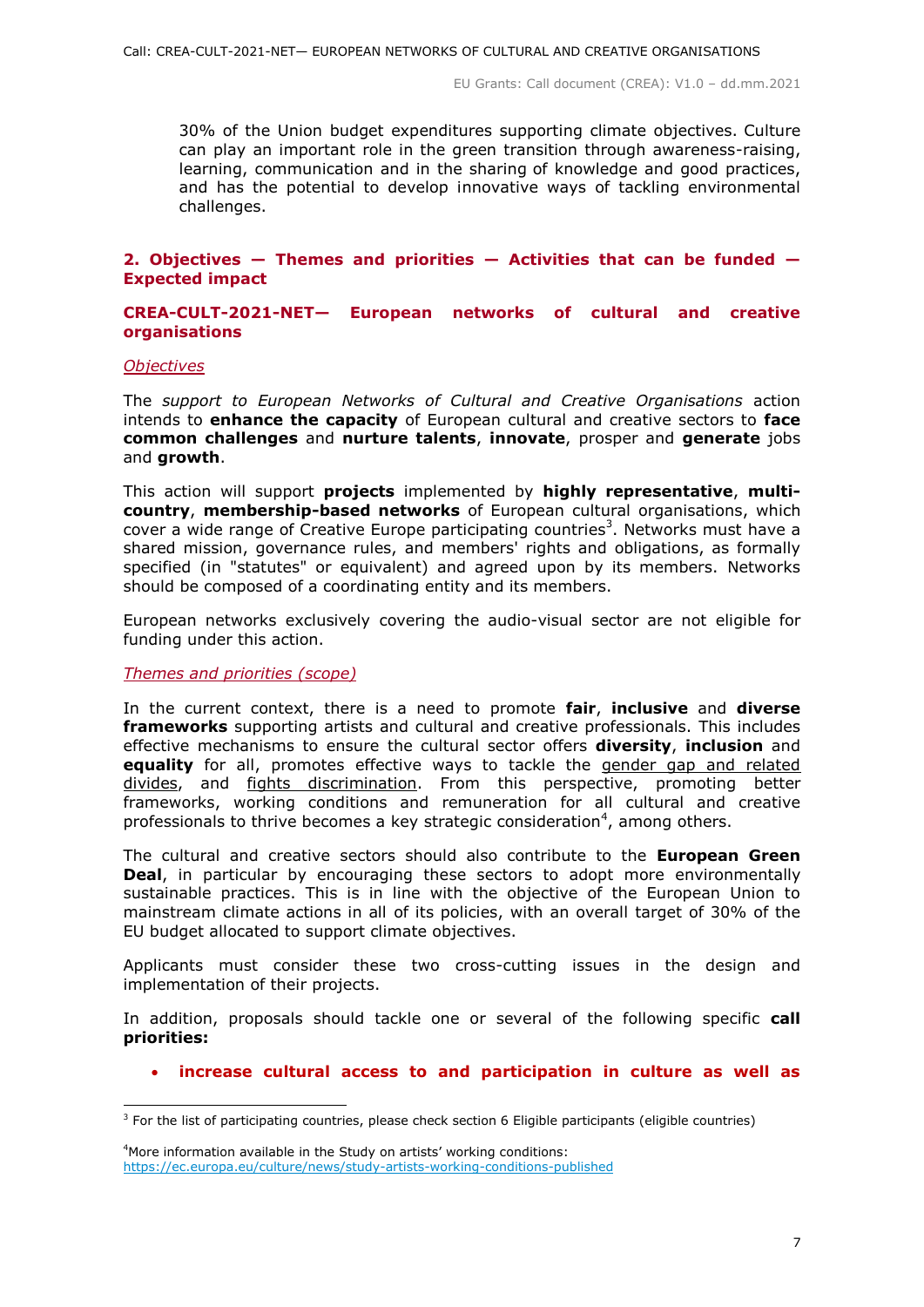30% of the Union budget expenditures supporting climate objectives. Culture can play an important role in the green transition through awareness-raising, learning, communication and in the sharing of knowledge and good practices, and has the potential to develop innovative ways of tackling environmental challenges.

#### <span id="page-6-0"></span>**2. Objectives — Themes and priorities — Activities that can be funded — Expected impact**

# <span id="page-6-1"></span>**CREA-CULT-2021-NET— European networks of cultural and creative organisations**

#### <span id="page-6-2"></span>*Objectives*

-

The *support to European Networks of Cultural and Creative Organisations* action intends to **enhance the capacity** of European cultural and creative sectors to **face common challenges** and **nurture talents**, **innovate**, prosper and **generate** jobs and **growth**.

This action will support **projects** implemented by **highly representative**, **multicountry**, **membership-based networks** of European cultural organisations, which cover a wide range of Creative Europe participating countries<sup>3</sup>. Networks must have a shared mission, governance rules, and members' rights and obligations, as formally specified (in "statutes" or equivalent) and agreed upon by its members. Networks should be composed of a coordinating entity and its members.

European networks exclusively covering the audio-visual sector are not eligible for funding under this action.

#### <span id="page-6-3"></span>*Themes and priorities (scope)*

In the current context, there is a need to promote **fair**, **inclusive** and **diverse frameworks** supporting artists and cultural and creative professionals. This includes effective mechanisms to ensure the cultural sector offers **diversity**, **inclusion** and **equality** for all, promotes effective ways to tackle the gender gap and related divides, and fights discrimination. From this perspective, promoting better frameworks, working conditions and remuneration for all cultural and creative professionals to thrive becomes a key strategic consideration<sup>4</sup>, among others.

The cultural and creative sectors should also contribute to the **European Green Deal**, in particular by encouraging these sectors to adopt more environmentally sustainable practices. This is in line with the objective of the European Union to mainstream climate actions in all of its policies, with an overall target of 30% of the EU budget allocated to support climate objectives.

Applicants must consider these two cross-cutting issues in the design and implementation of their projects.

In addition, proposals should tackle one or several of the following specific **call priorities:**

**increase cultural access to and participation in culture as well as** 

<sup>4</sup>More information available in the Study on artists' working conditions: <https://ec.europa.eu/culture/news/study-artists-working-conditions-published>

 $3$  For the list of participating countries, please check section 6 Eligible participants (eligible countries)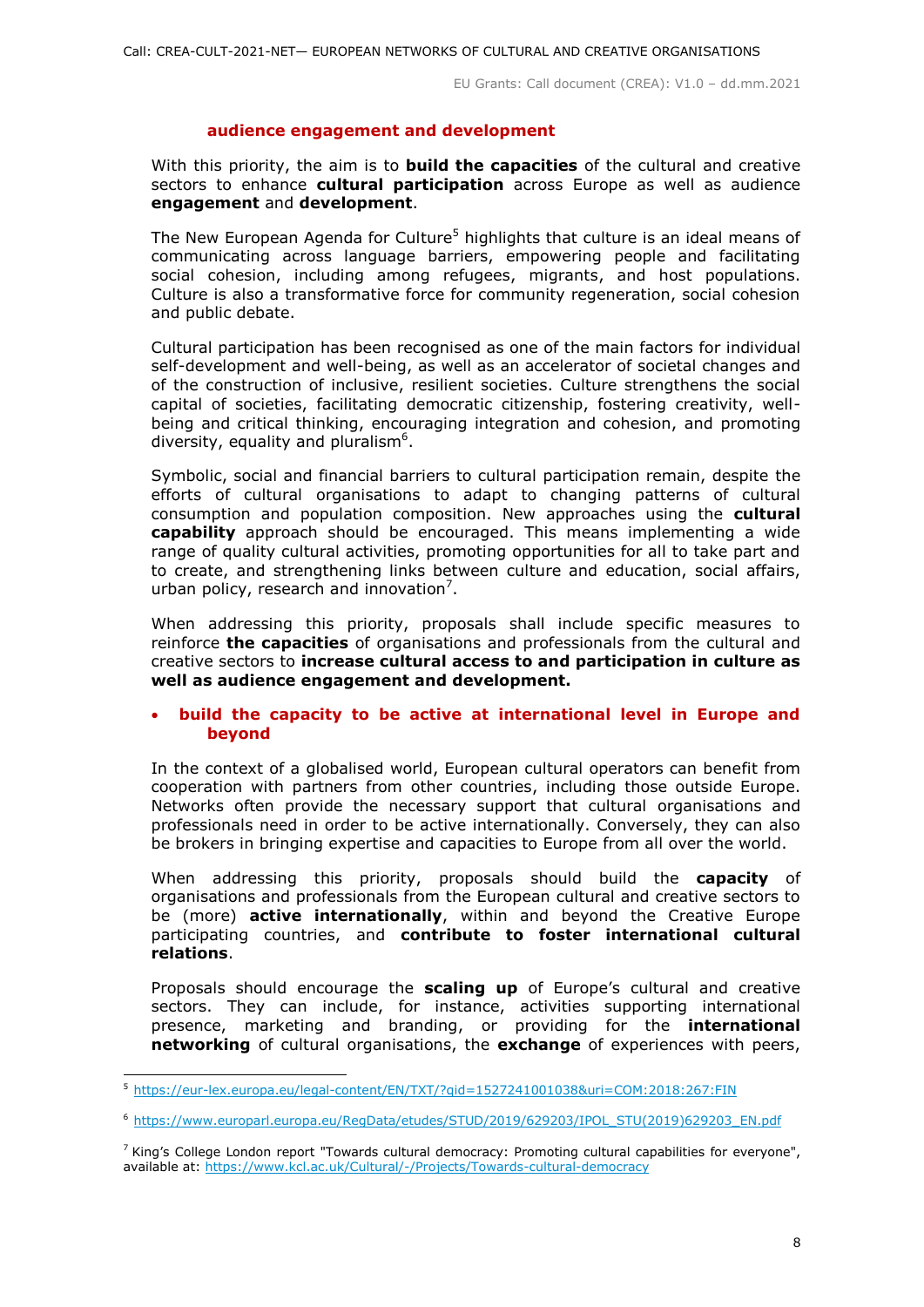#### **audience engagement and development**

With this priority, the aim is to **build the capacities** of the cultural and creative sectors to enhance **cultural participation** across Europe as well as audience **engagement** and **development**.

The New European Agenda for Culture<sup>5</sup> highlights that culture is an ideal means of communicating across language barriers, empowering people and facilitating social cohesion, including among refugees, migrants, and host populations. Culture is also a transformative force for community regeneration, social cohesion and public debate.

Cultural participation has been recognised as one of the main factors for individual self-development and well-being, as well as an accelerator of societal changes and of the construction of inclusive, resilient societies. Culture strengthens the social capital of societies, facilitating democratic citizenship, fostering creativity, wellbeing and critical thinking, encouraging integration and cohesion, and promoting diversity, equality and pluralism<sup>6</sup>.

Symbolic, social and financial barriers to cultural participation remain, despite the efforts of cultural organisations to adapt to changing patterns of cultural consumption and population composition. New approaches using the **cultural capability** approach should be encouraged. This means implementing a wide range of quality cultural activities, promoting opportunities for all to take part and to create, and strengthening links between culture and education, social affairs, urban policy, research and innovation<sup>7</sup>.

When addressing this priority, proposals shall include specific measures to reinforce **the capacities** of organisations and professionals from the cultural and creative sectors to **increase cultural access to and participation in culture as well as audience engagement and development.** 

# **build the capacity to be active at international level in Europe and beyond**

In the context of a globalised world, European cultural operators can benefit from cooperation with partners from other countries, including those outside Europe. Networks often provide the necessary support that cultural organisations and professionals need in order to be active internationally. Conversely, they can also be brokers in bringing expertise and capacities to Europe from all over the world.

When addressing this priority, proposals should build the **capacity** of organisations and professionals from the European cultural and creative sectors to be (more) **active internationally**, within and beyond the Creative Europe participating countries, and **contribute to foster international cultural relations**.

Proposals should encourage the **scaling up** of Europe's cultural and creative sectors. They can include, for instance, activities supporting international presence, marketing and branding, or providing for the **international networking** of cultural organisations, the **exchange** of experiences with peers,

<sup>-</sup><sup>5</sup> <https://eur-lex.europa.eu/legal-content/EN/TXT/?qid=1527241001038&uri=COM:2018:267:FIN>

<sup>6</sup> https://www.europarl.europa.eu/RegData/etudes/STUD/2019/629203/IPOL\_STU(2019)629203\_EN.pdf

<sup>&</sup>lt;sup>7</sup> King's College London report "Towards cultural democracy: Promoting cultural capabilities for everyone", available at: https://www.kcl.ac.uk/Cultural/-/Projects/Towards-cultural-democracy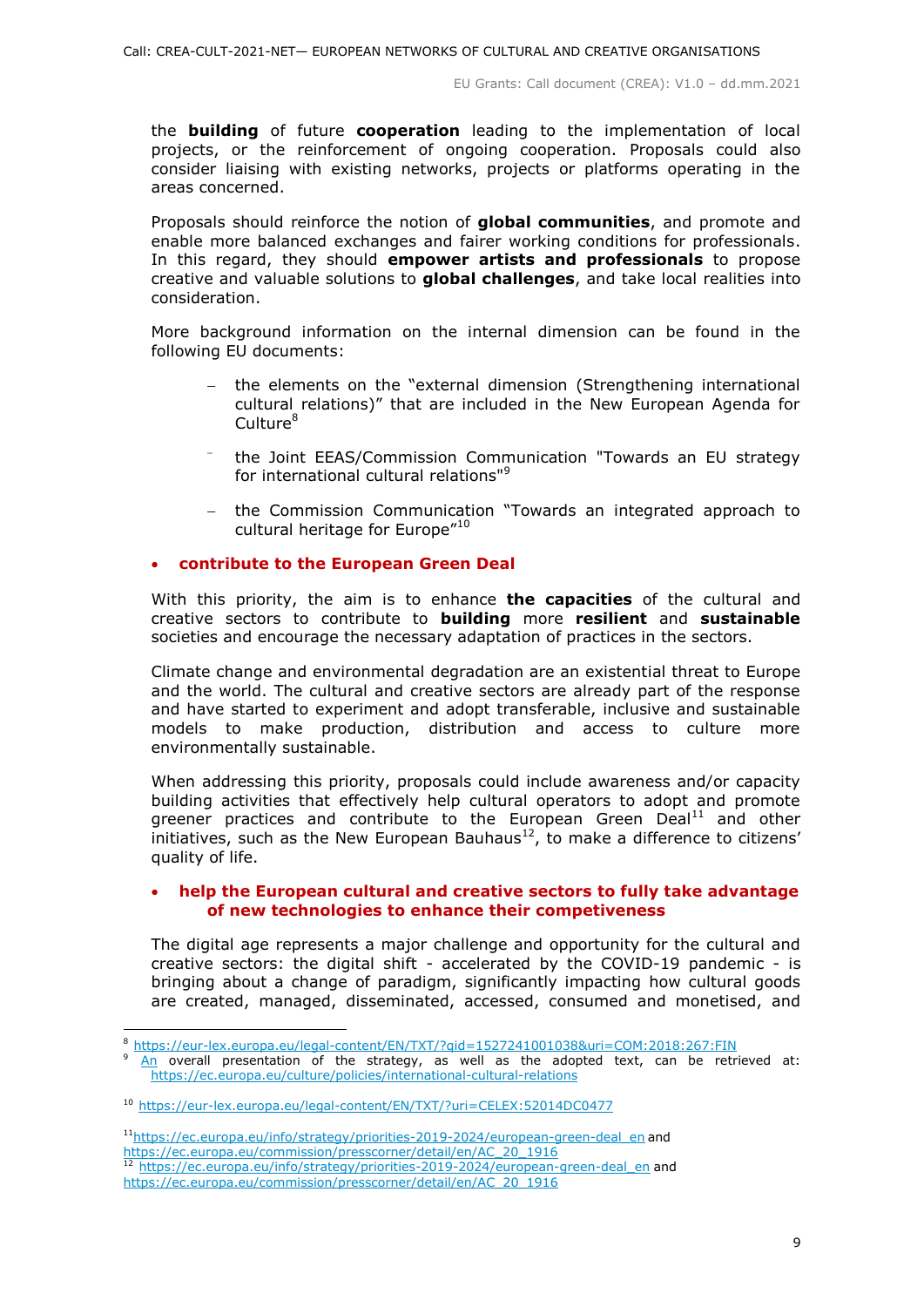the **building** of future **cooperation** leading to the implementation of local projects, or the reinforcement of ongoing cooperation. Proposals could also consider liaising with existing networks, projects or platforms operating in the areas concerned.

Proposals should reinforce the notion of **global communities**, and promote and enable more balanced exchanges and fairer working conditions for professionals. In this regard, they should **empower artists and professionals** to propose creative and valuable solutions to **global challenges**, and take local realities into consideration.

More background information on the internal dimension can be found in the following EU documents:

- the elements on the "external dimension (Strengthening international cultural relations)" that are included in the New European Agenda for Culture<sup>8</sup>
- ÷ the Joint EEAS/Commission Communication "Towards an EU strategy for international cultural relations"<sup>9</sup>
- the Commission Communication "Towards an integrated approach to cultural heritage for Europe"<sup>10</sup>

# **contribute to the European Green Deal**

With this priority, the aim is to enhance **the capacities** of the cultural and creative sectors to contribute to **building** more **resilient** and **sustainable**  societies and encourage the necessary adaptation of practices in the sectors.

Climate change and environmental degradation are an existential threat to Europe and the world. The cultural and creative sectors are already part of the response and have started to experiment and adopt transferable, inclusive and sustainable models to make production, distribution and access to culture more environmentally sustainable.

When addressing this priority, proposals could include awareness and/or capacity building activities that effectively help cultural operators to adopt and promote greener practices and contribute to the European Green Deal $^{11}$  and other initiatives, such as the New European Bauhaus $^{12}$ , to make a difference to citizens' quality of life.

#### **help the European cultural and creative sectors to fully take advantage of new technologies to enhance their competiveness**

The digital age represents a major challenge and opportunity for the cultural and creative sectors: the digital shift - accelerated by the COVID-19 pandemic - is bringing about a change of paradigm, significantly impacting how cultural goods are created, managed, disseminated, accessed, consumed and monetised, and

-

 $11$ https://ec.europa.eu/info/strategy/priorities-2019-2024/european-green-deal en and [https://ec.europa.eu/commission/presscorner/detail/en/AC\\_20\\_1916](https://ec.europa.eu/commission/presscorner/detail/en/AC_20_1916) [https://ec.europa.eu/info/strategy/priorities-2019-2024/european-green-deal\\_en](https://ec.europa.eu/info/strategy/priorities-2019-2024/european-green-deal_en) and [https://ec.europa.eu/commission/presscorner/detail/en/AC\\_20\\_1916](https://ec.europa.eu/commission/presscorner/detail/en/AC_20_1916)

<sup>8</sup> <https://eur-lex.europa.eu/legal-content/EN/TXT/?qid=1527241001038&uri=COM:2018:267:FIN>

[An](https://eur-lex.europa.eu/legal-content/EN/TXT/?qid=1527241001038&uri=COM:2018:267:FIN) overall presentation of the strategy, as well as the adopted text, can be retrieved at: <https://ec.europa.eu/culture/policies/international-cultural-relations>

<sup>10</sup> <https://eur-lex.europa.eu/legal-content/EN/TXT/?uri=CELEX:52014DC0477>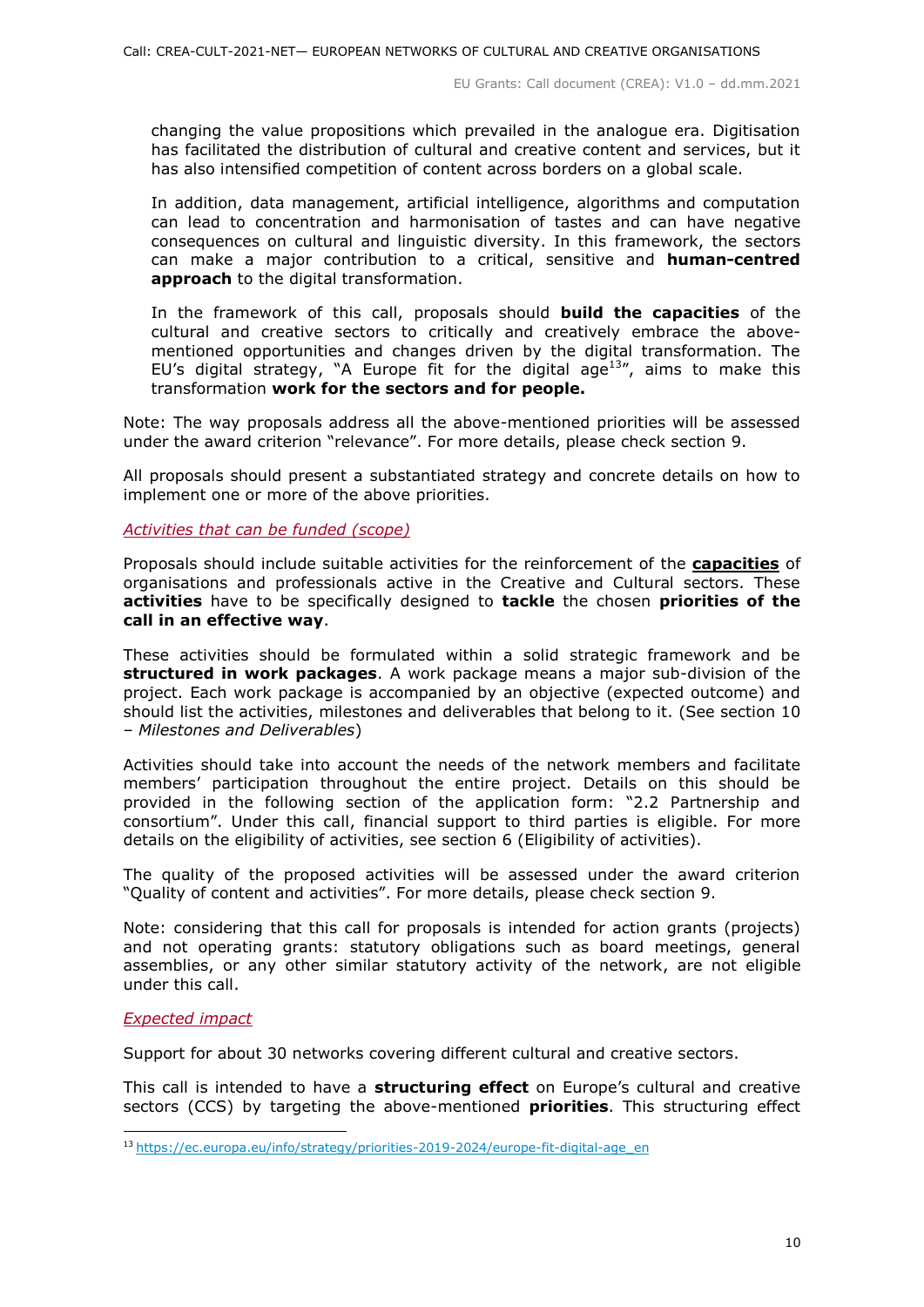changing the value propositions which prevailed in the analogue era. Digitisation has facilitated the distribution of cultural and creative content and services, but it has also intensified competition of content across borders on a global scale.

In addition, data management, artificial intelligence, algorithms and computation can lead to concentration and harmonisation of tastes and can have negative consequences on cultural and linguistic diversity. In this framework, the sectors can make a major contribution to a critical, sensitive and **human-centred approach** to the digital transformation.

In the framework of this call, proposals should **build the capacities** of the cultural and creative sectors to critically and creatively embrace the abovementioned opportunities and changes driven by the digital transformation. The EU's digital strategy, "A Europe fit for the digital age<sup>13</sup>", aims to make this transformation **work for the sectors and for people.** 

Note: The way proposals address all the above-mentioned priorities will be assessed under the award criterion "relevance". For more details, please check section 9.

All proposals should present a substantiated strategy and concrete details on how to implement one or more of the above priorities.

#### <span id="page-9-0"></span>*Activities that can be funded (scope)*

Proposals should include suitable activities for the reinforcement of the **capacities** of organisations and professionals active in the Creative and Cultural sectors. These **activities** have to be specifically designed to **tackle** the chosen **priorities of the call in an effective way**.

These activities should be formulated within a solid strategic framework and be **structured in work packages**. A work package means a major sub-division of the project. Each work package is accompanied by an objective (expected outcome) and should list the activities, milestones and deliverables that belong to it. (See section 10 – *Milestones and Deliverables*)

Activities should take into account the needs of the network members and facilitate members' participation throughout the entire project. Details on this should be provided in the following section of the application form: "2.2 Partnership and consortium". Under this call, financial support to third parties is eligible. For more details on the eligibility of activities, see section 6 (Eligibility of activities).

The quality of the proposed activities will be assessed under the award criterion "Quality of content and activities". For more details, please check section 9.

Note: considering that this call for proposals is intended for action grants (projects) and not operating grants: statutory obligations such as board meetings, general assemblies, or any other similar statutory activity of the network, are not eligible under this call.

#### <span id="page-9-1"></span>*Expected impact*

-

Support for about 30 networks covering different cultural and creative sectors.

This call is intended to have a **structuring effect** on Europe's cultural and creative sectors (CCS) by targeting the above-mentioned **priorities**. This structuring effect

<sup>13</sup> https://ec.europa.eu/info/strategy/priorities-2019-2024/europe-fit-digital-age\_en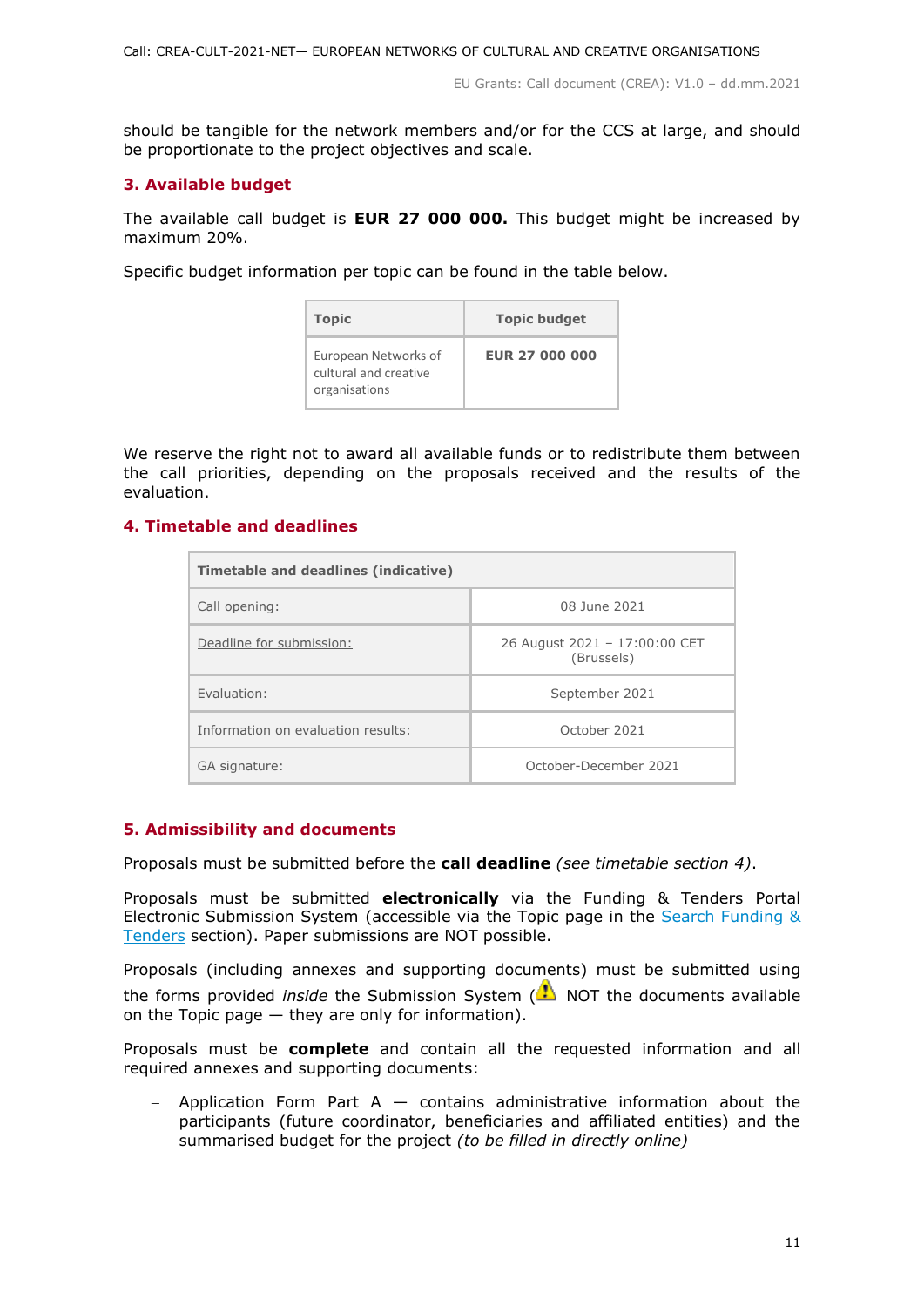should be tangible for the network members and/or for the CCS at large, and should be proportionate to the project objectives and scale.

# <span id="page-10-0"></span>**3. Available budget**

The available call budget is **EUR 27 000 000.** This budget might be increased by maximum 20%.

Specific budget information per topic can be found in the table below.

| <b>Topic</b>                                                   | <b>Topic budget</b> |  |  |
|----------------------------------------------------------------|---------------------|--|--|
| European Networks of<br>cultural and creative<br>organisations | EUR 27 000 000      |  |  |

We reserve the right not to award all available funds or to redistribute them between the call priorities, depending on the proposals received and the results of the evaluation.

# <span id="page-10-1"></span>**4. Timetable and deadlines**

| Timetable and deadlines (indicative) |                                             |
|--------------------------------------|---------------------------------------------|
| Call opening:                        | 08 June 2021                                |
| Deadline for submission:             | 26 August 2021 - 17:00:00 CET<br>(Brussels) |
| Fyaluation:                          | September 2021                              |
| Information on evaluation results:   | October 2021                                |
| GA signature:                        | October-December 2021                       |

# <span id="page-10-2"></span>**5. Admissibility and documents**

Proposals must be submitted before the **call deadline** *(see timetable section 4)*.

Proposals must be submitted **electronically** via the Funding & Tenders Portal Electronic Submission System (accessible via the Topic page in the Search Funding & [Tenders](https://ec.europa.eu/info/funding-tenders/opportunities/portal/screen/opportunities/topic-search;freeTextSearchKeyword=;typeCodes=0,1;statusCodes=31094501,31094502,31094503;programCode=null;programDivisionCode=null;focusAreaCode=null;crossCuttingPriorityCode=null;callCode=Default;sortQuery=openingDate;orderBy=asc;onlyTenders=false;topicListKey=topicSearchTablePageState) section). Paper submissions are NOT possible.

Proposals (including annexes and supporting documents) must be submitted using the forms provided *inside* the Submission System (**A**) NOT the documents available on the Topic page — they are only for information).

Proposals must be **complete** and contain all the requested information and all required annexes and supporting documents:

Application Form Part  $A -$  contains administrative information about the participants (future coordinator, beneficiaries and affiliated entities) and the summarised budget for the project *(to be filled in directly online)*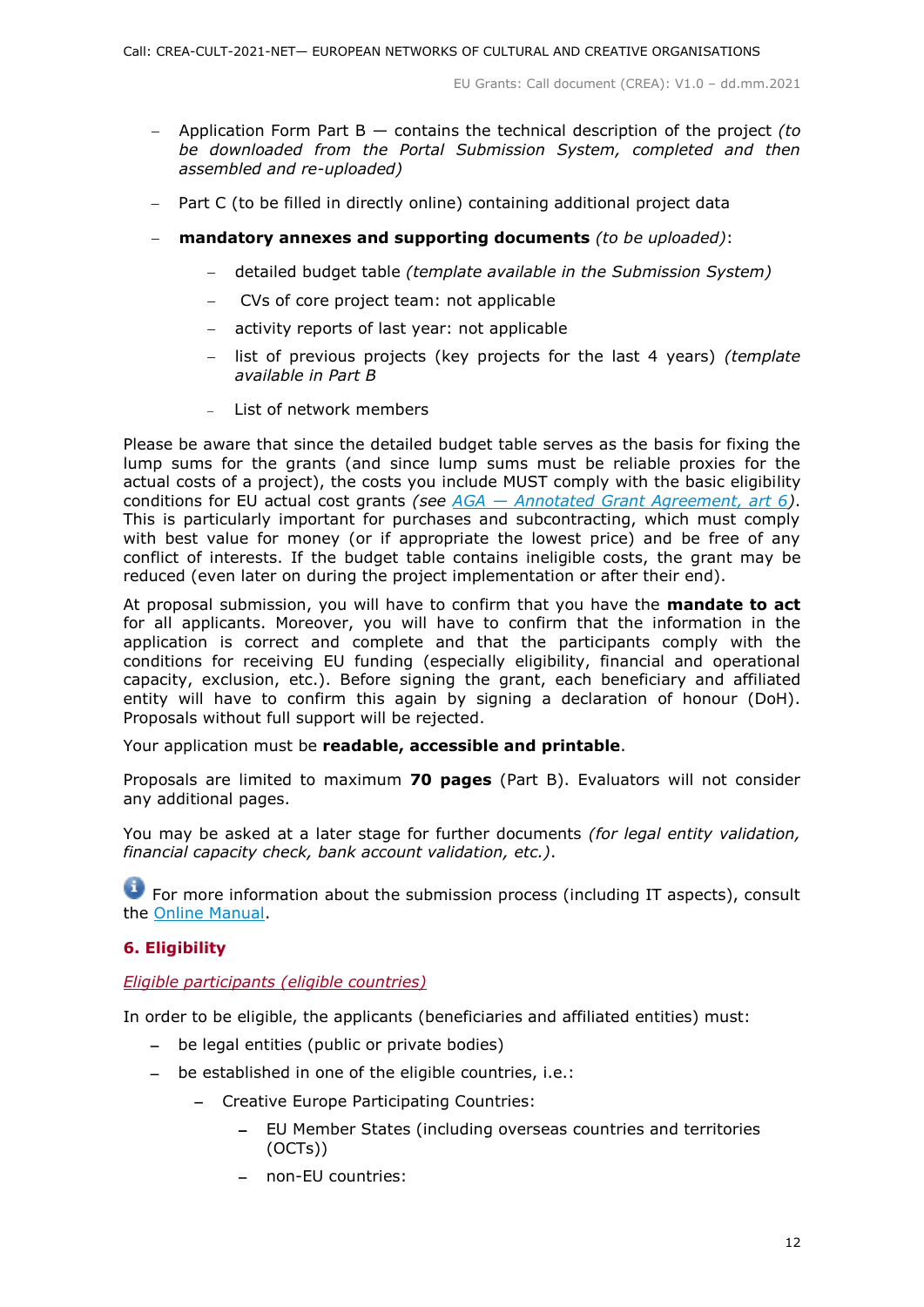- Application Form Part B contains the technical description of the project *(to be downloaded from the Portal Submission System, completed and then assembled and re-uploaded)*
- Part C (to be filled in directly online) containing additional project data
- **mandatory annexes and supporting documents** *(to be uploaded)*:
	- detailed budget table *(template available in the Submission System)*
	- CVs of core project team: not applicable
	- activity reports of last year: not applicable
	- list of previous projects (key projects for the last 4 years) *(template available in Part B*
	- List of network members

Please be aware that since the detailed budget table serves as the basis for fixing the lump sums for the grants (and since lump sums must be reliable proxies for the actual costs of a project), the costs you include MUST comply with the basic eligibility conditions for EU actual cost grants *(see AGA — [Annotated Grant Agreement, art 6\)](https://ec.europa.eu/info/funding-tenders/opportunities/docs/2021-2027/common/guidance/aga_en.pdf)*. This is particularly important for purchases and subcontracting, which must comply with best value for money (or if appropriate the lowest price) and be free of any conflict of interests. If the budget table contains ineligible costs, the grant may be reduced (even later on during the project implementation or after their end).

At proposal submission, you will have to confirm that you have the **mandate to act** for all applicants. Moreover, you will have to confirm that the information in the application is correct and complete and that the participants comply with the conditions for receiving EU funding (especially eligibility, financial and operational capacity, exclusion, etc.). Before signing the grant, each beneficiary and affiliated entity will have to confirm this again by signing a declaration of honour (DoH). Proposals without full support will be rejected.

Your application must be **readable, accessible and printable**.

Proposals are limited to maximum **70 pages** (Part B). Evaluators will not consider any additional pages.

You may be asked at a later stage for further documents *(for legal entity validation, financial capacity check, bank account validation, etc.)*.

For more information about the submission process (including IT aspects), consult the [Online Manual.](https://ec.europa.eu/info/funding-tenders/opportunities/docs/2021-2027/common/guidance/om_en.pdf)

# <span id="page-11-0"></span>**6. Eligibility**

<span id="page-11-1"></span>*Eligible participants (eligible countries)*

In order to be eligible, the applicants (beneficiaries and affiliated entities) must:

- be legal entities (public or private bodies)
- be established in one of the eligible countries, i.e.:
	- Creative Europe Participating Countries:
		- EU Member States (including overseas countries and territories (OCTs))
		- non-EU countries: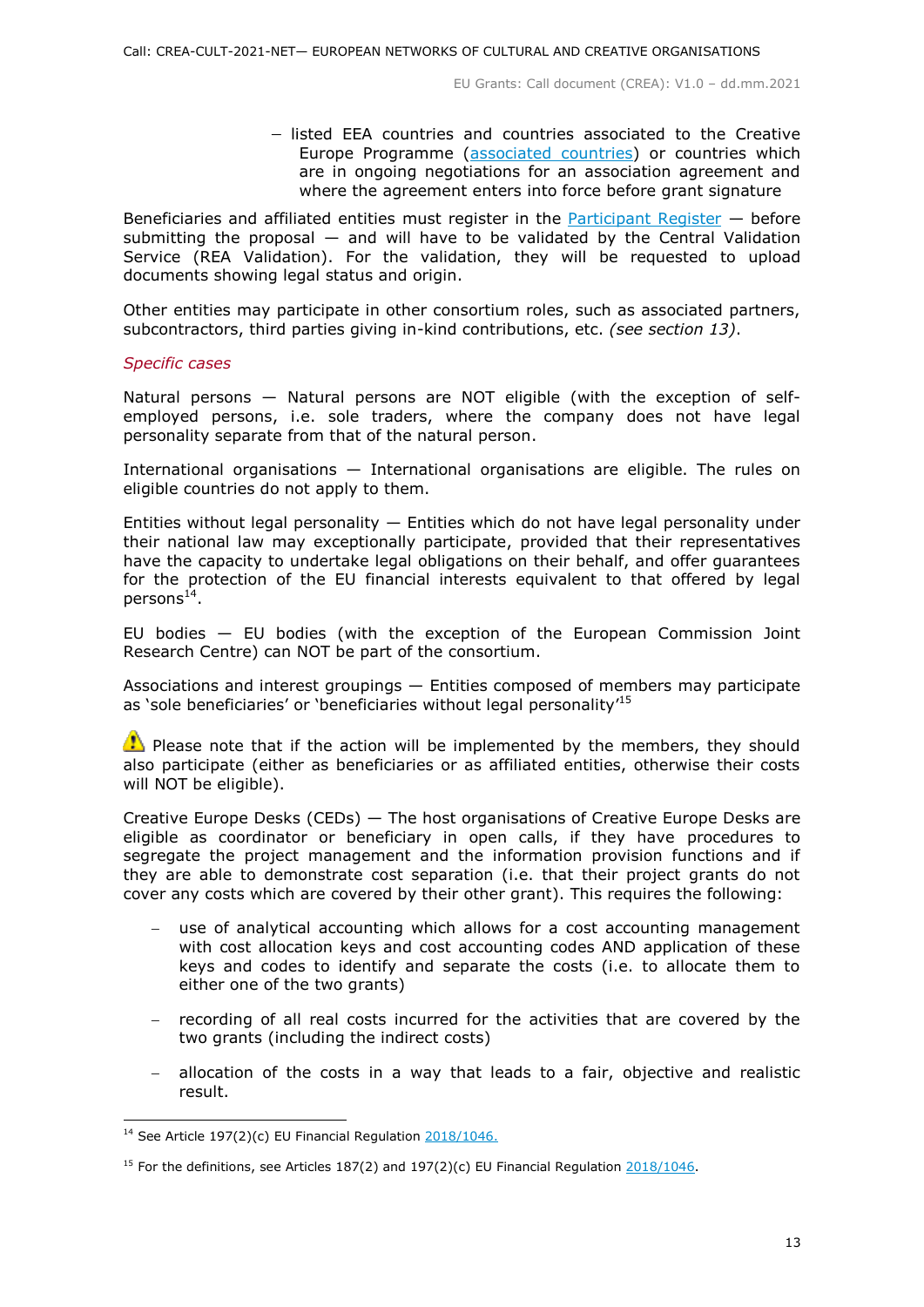- listed EEA countries and countries associated to the Creative Europe Programme [\(associated countries\)](https://ec.europa.eu/info/funding-tenders/opportunities/docs/2021-2027/crea/guidance/list-3rd-country-participation_crea_en.pdf) or countries which are in ongoing negotiations for an association agreement and where the agreement enters into force before grant signature

Beneficiaries and affiliated entities must register in the [Participant Register](https://ec.europa.eu/info/funding-tenders/opportunities/portal/screen/how-to-participate/participant-register)  $-$  before submitting the proposal  $-$  and will have to be validated by the Central Validation Service (REA Validation). For the validation, they will be requested to upload documents showing legal status and origin.

Other entities may participate in other consortium roles, such as associated partners, subcontractors, third parties giving in-kind contributions, etc. *(see section 13)*.

#### *Specific cases*

Natural persons — Natural persons are NOT eligible (with the exception of selfemployed persons, i.e. sole traders, where the company does not have legal personality separate from that of the natural person.

International organisations — International organisations are eligible. The rules on eligible countries do not apply to them.

Entities without legal personality  $-$  Entities which do not have legal personality under their national law may exceptionally participate, provided that their representatives have the capacity to undertake legal obligations on their behalf, and offer guarantees for the protection of the EU financial interests equivalent to that offered by legal persons<sup>14</sup>.

EU bodies — EU bodies (with the exception of the European Commission Joint Research Centre) can NOT be part of the consortium.

Associations and interest groupings — Entities composed of members may participate as 'sole beneficiaries' or 'beneficiaries without legal personality'<sup>15</sup>

 $\bullet$  Please note that if the action will be implemented by the members, they should also participate (either as beneficiaries or as affiliated entities, otherwise their costs will NOT be eligible).

Creative Europe Desks (CEDs) — The host organisations of Creative Europe Desks are eligible as coordinator or beneficiary in open calls, if they have procedures to segregate the project management and the information provision functions and if they are able to demonstrate cost separation (i.e. that their project grants do not cover any costs which are covered by their other grant). This requires the following:

- use of analytical accounting which allows for a cost accounting management with cost allocation keys and cost accounting codes AND application of these keys and codes to identify and separate the costs (i.e. to allocate them to either one of the two grants)
- recording of all real costs incurred for the activities that are covered by the two grants (including the indirect costs)
- allocation of the costs in a way that leads to a fair, objective and realistic result.

<sup>-</sup><sup>14</sup> See Article 197(2)(c) EU Financial Regulation  $2018/1046$ .

<sup>&</sup>lt;sup>15</sup> For the definitions, see Articles 187(2) and 197(2)(c) EU Financial Regulation  $2018/1046$ .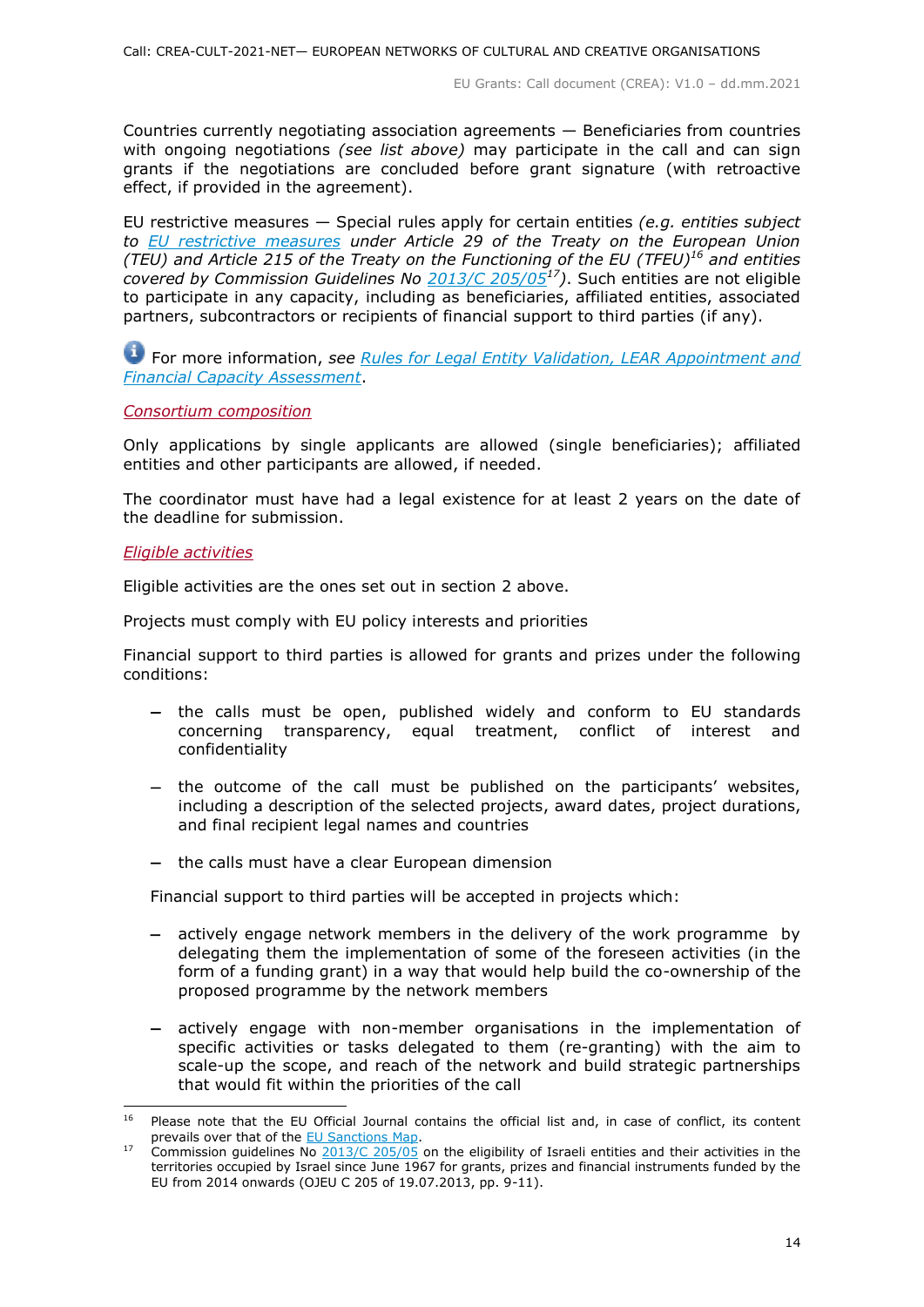Countries currently negotiating association agreements — Beneficiaries from countries with ongoing negotiations *(see list above)* may participate in the call and can sign grants if the negotiations are concluded before grant signature (with retroactive effect, if provided in the agreement).

EU restrictive measures — Special rules apply for certain entities *(e.g. entities subject to [EU restrictive measures](http://www.sanctionsmap.eu/) under Article 29 of the Treaty on the European Union (TEU) and Article 215 of the Treaty on the Functioning of the EU (TFEU)<sup>16</sup> and entities covered by Commission Guidelines No [2013/C 205/05](http://eur-lex.europa.eu/LexUriServ/LexUriServ.do?uri=OJ:C:2013:205:FULL:EN:PDF)<sup>17</sup>)*. Such entities are not eligible to participate in any capacity, including as beneficiaries, affiliated entities, associated partners, subcontractors or recipients of financial support to third parties (if any).

For more information, *see [Rules for Legal Entity Validation, LEAR Appointment and](https://ec.europa.eu/info/funding-tenders/opportunities/docs/2021-2027/common/guidance/rules-lev-lear-fca_en.pdf)  [Financial Capacity Assessment](https://ec.europa.eu/info/funding-tenders/opportunities/docs/2021-2027/common/guidance/rules-lev-lear-fca_en.pdf)*.

#### <span id="page-13-0"></span>*Consortium composition*

Only applications by single applicants are allowed (single beneficiaries); affiliated entities and other participants are allowed, if needed.

The coordinator must have had a legal existence for at least 2 years on the date of the deadline for submission.

#### <span id="page-13-1"></span>*Eligible activities*

Eligible activities are the ones set out in section 2 above.

Projects must comply with EU policy interests and priorities

Financial support to third parties is allowed for grants and prizes under the following conditions:

- the calls must be open, published widely and conform to EU standards concerning transparency, equal treatment, conflict of interest and confidentiality
- the outcome of the call must be published on the participants' websites, including a description of the selected projects, award dates, project durations, and final recipient legal names and countries
- $-$  the calls must have a clear European dimension

Financial support to third parties will be accepted in projects which:

- actively engage network members in the delivery of the work programme by delegating them the implementation of some of the foreseen activities (in the form of a funding grant) in a way that would help build the co-ownership of the proposed programme by the network members
- actively engage with non-member organisations in the implementation of specific activities or tasks delegated to them (re-granting) with the aim to scale-up the scope, and reach of the network and build strategic partnerships that would fit within the priorities of the call

<sup>16</sup> Please note that the EU Official Journal contains the official list and, in case of conflict, its content prevails over that of the **EU Sanctions Map**.

<sup>&</sup>lt;sup>17</sup> Commission guidelines No  $2013/C 205/05$  on the eligibility of Israeli entities and their activities in the territories occupied by Israel since June 1967 for grants, prizes and financial instruments funded by the EU from 2014 onwards (OJEU C 205 of 19.07.2013, pp. 9-11).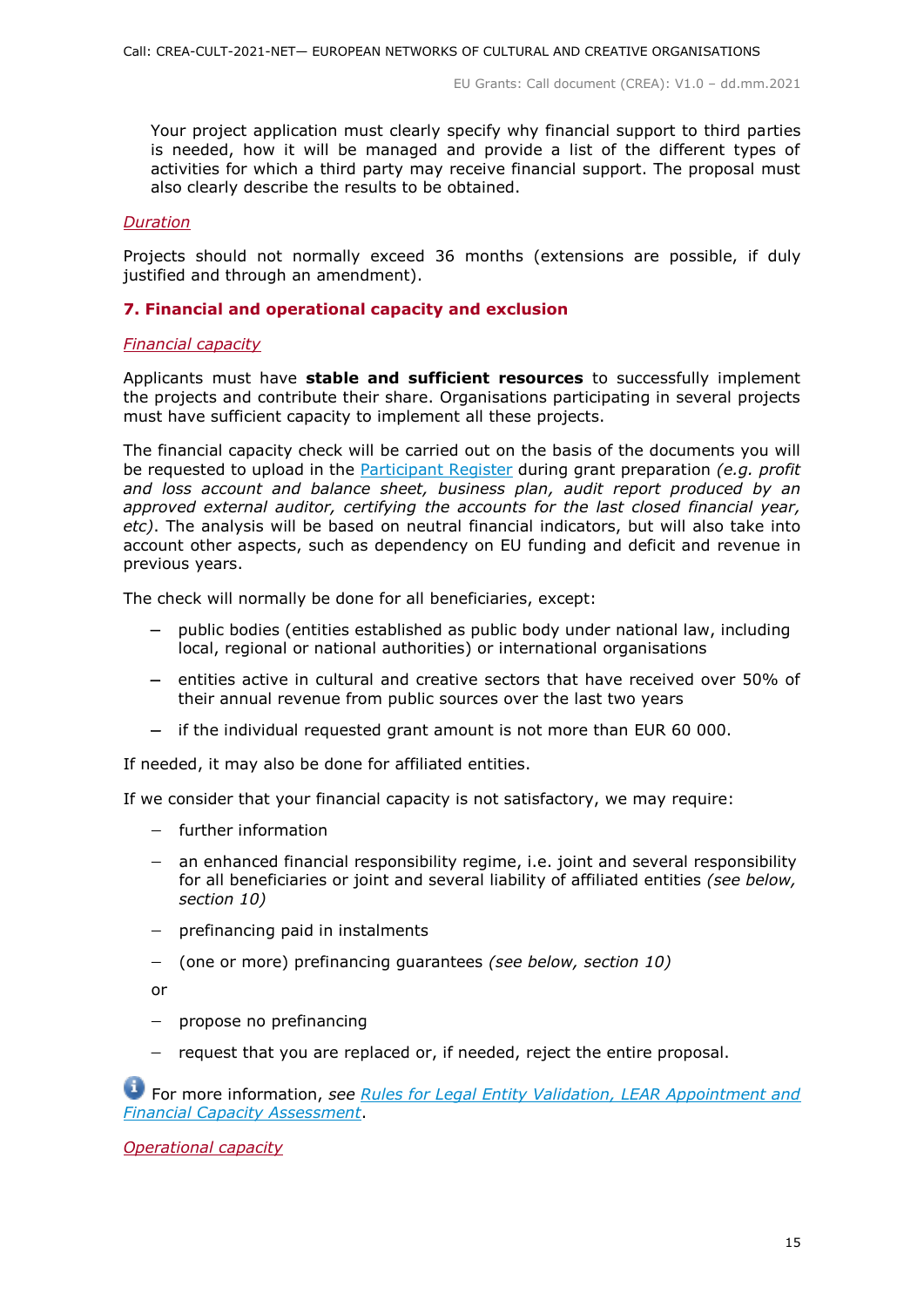Your project application must clearly specify why financial support to third parties is needed, how it will be managed and provide a list of the different types of activities for which a third party may receive financial support. The proposal must also clearly describe the results to be obtained.

# <span id="page-14-0"></span>*Duration*

Projects should not normally exceed 36 months (extensions are possible, if duly justified and through an amendment).

# <span id="page-14-1"></span>**7. Financial and operational capacity and exclusion**

# <span id="page-14-2"></span>*Financial capacity*

Applicants must have **stable and sufficient resources** to successfully implement the projects and contribute their share. Organisations participating in several projects must have sufficient capacity to implement all these projects.

The financial capacity check will be carried out on the basis of the documents you will be requested to upload in the [Participant Register](https://ec.europa.eu/info/funding-tenders/opportunities/portal/screen/how-to-participate/participant-register) during grant preparation *(e.g. profit and loss account and balance sheet, business plan, audit report produced by an approved external auditor, certifying the accounts for the last closed financial year, etc)*. The analysis will be based on neutral financial indicators, but will also take into account other aspects, such as dependency on EU funding and deficit and revenue in previous years.

The check will normally be done for all beneficiaries, except:

- public bodies (entities established as public body under national law, including local, regional or national authorities) or international organisations
- $-$  entities active in cultural and creative sectors that have received over 50% of their annual revenue from public sources over the last two years
- $-$  if the individual requested grant amount is not more than EUR 60 000.

If needed, it may also be done for affiliated entities.

If we consider that your financial capacity is not satisfactory, we may require:

- further information
- an enhanced financial responsibility regime, i.e. joint and several responsibility for all beneficiaries or joint and several liability of affiliated entities *(see below, section 10)*
- $-$  prefinancing paid in instalments
- (one or more) prefinancing guarantees *(see below, section 10)*

or

- $-$  propose no prefinancing
- $-$  request that you are replaced or, if needed, reject the entire proposal.

For more information, *see Rules for [Legal Entity Validation, LEAR Appointment and](https://ec.europa.eu/info/funding-tenders/opportunities/docs/2021-2027/common/guidance/rules-lev-lear-fca_en.pdf)  [Financial Capacity Assessment](https://ec.europa.eu/info/funding-tenders/opportunities/docs/2021-2027/common/guidance/rules-lev-lear-fca_en.pdf)*.

<span id="page-14-3"></span>*Operational capacity*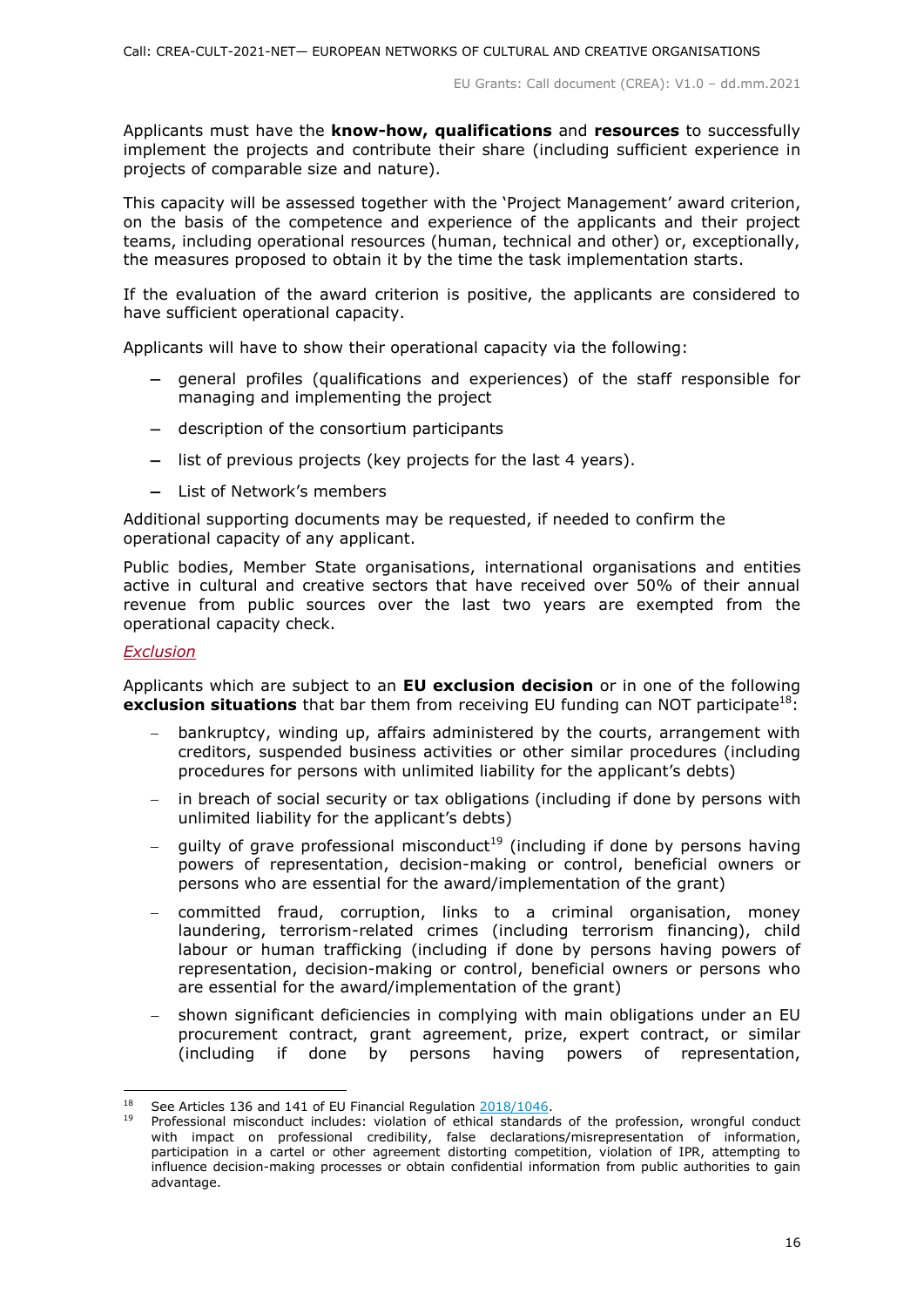Applicants must have the **know-how, qualifications** and **resources** to successfully implement the projects and contribute their share (including sufficient experience in projects of comparable size and nature).

This capacity will be assessed together with the 'Project Management' award criterion, on the basis of the competence and experience of the applicants and their project teams, including operational resources (human, technical and other) or, exceptionally, the measures proposed to obtain it by the time the task implementation starts.

If the evaluation of the award criterion is positive, the applicants are considered to have sufficient operational capacity.

Applicants will have to show their operational capacity via the following:

- general profiles (qualifications and experiences) of the staff responsible for managing and implementing the project
- description of the consortium participants
- list of previous projects (key projects for the last 4 years).
- List of Network's members

Additional supporting documents may be requested, if needed to confirm the operational capacity of any applicant.

Public bodies, Member State organisations, international organisations and entities active in cultural and creative sectors that have received over 50% of their annual revenue from public sources over the last two years are exempted from the operational capacity check.

#### <span id="page-15-0"></span>*Exclusion*

Applicants which are subject to an **EU exclusion decision** or in one of the following **exclusion situations** that bar them from receiving EU funding can NOT participate<sup>18</sup>:

- bankruptcy, winding up, affairs administered by the courts, arrangement with creditors, suspended business activities or other similar procedures (including procedures for persons with unlimited liability for the applicant's debts)
- in breach of social security or tax obligations (including if done by persons with unlimited liability for the applicant's debts)
- guilty of grave professional misconduct<sup>19</sup> (including if done by persons having powers of representation, decision-making or control, beneficial owners or persons who are essential for the award/implementation of the grant)
- committed fraud, corruption, links to a criminal organisation, money laundering, terrorism-related crimes (including terrorism financing), child labour or human trafficking (including if done by persons having powers of representation, decision-making or control, beneficial owners or persons who are essential for the award/implementation of the grant)
- shown significant deficiencies in complying with main obligations under an EU procurement contract, grant agreement, prize, expert contract, or similar (including if done by persons having powers of representation,

<sup>-</sup><sup>18</sup> See Articles 136 and 141 of EU Financial Regulation 2018/1046

Professional misconduct includes: violation of ethical standards of the profession, wrongful conduct with impact on professional credibility, false declarations/misrepresentation of information, participation in a cartel or other agreement distorting competition, violation of IPR, attempting to influence decision-making processes or obtain confidential information from public authorities to gain advantage.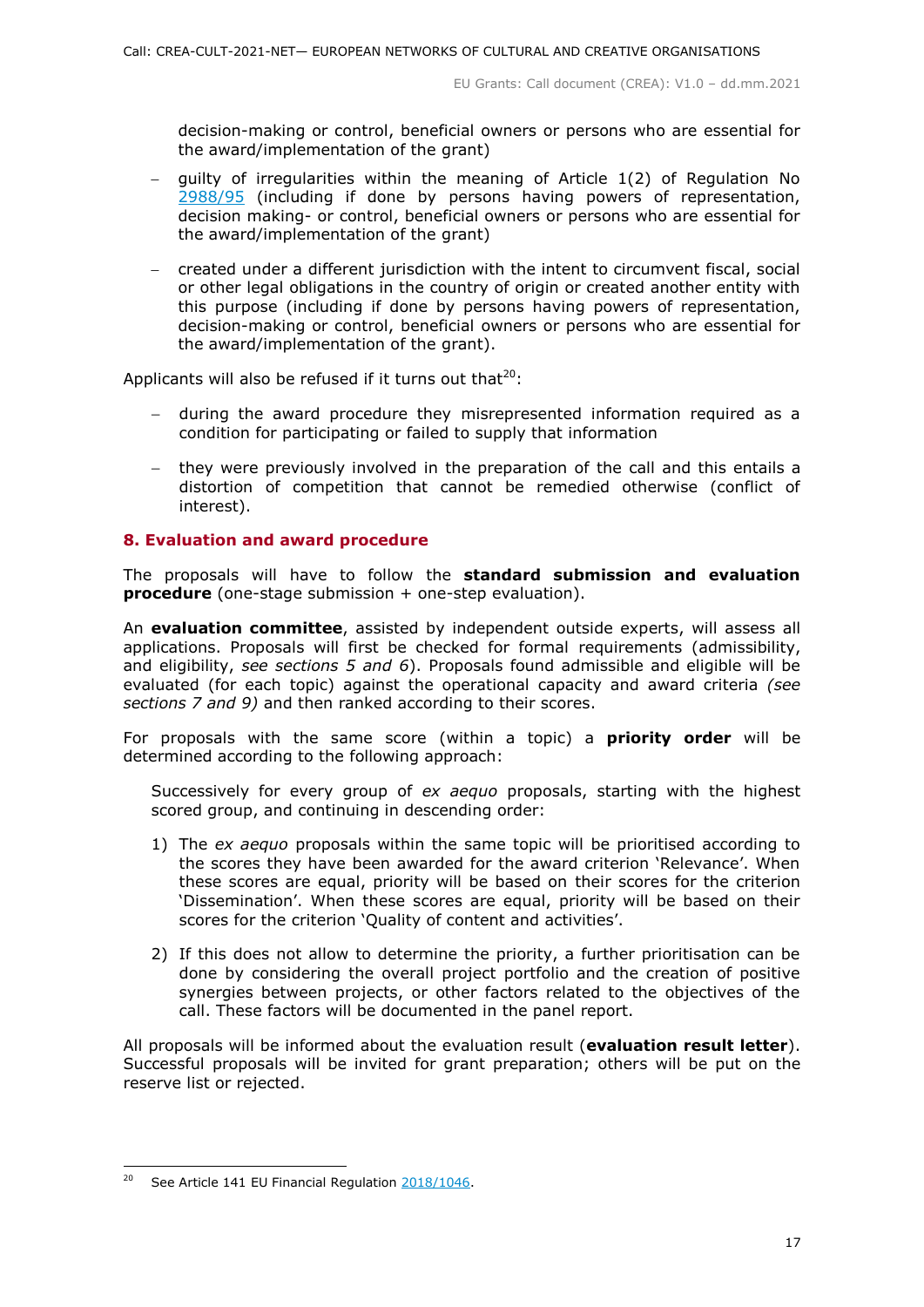decision-making or control, beneficial owners or persons who are essential for the award/implementation of the grant)

- $-$  quilty of irregularities within the meaning of Article 1(2) of Regulation No [2988/95](http://eur-lex.europa.eu/legal-content/EN/ALL/?uri=CELEX:31995R2988&qid=1501598622514) (including if done by persons having powers of representation, decision making- or control, beneficial owners or persons who are essential for the award/implementation of the grant)
- created under a different jurisdiction with the intent to circumvent fiscal, social or other legal obligations in the country of origin or created another entity with this purpose (including if done by persons having powers of representation, decision-making or control, beneficial owners or persons who are essential for the award/implementation of the grant).

Applicants will also be refused if it turns out that $^{20}$ :

- during the award procedure they misrepresented information required as a condition for participating or failed to supply that information
- they were previously involved in the preparation of the call and this entails a distortion of competition that cannot be remedied otherwise (conflict of interest).

# <span id="page-16-0"></span>**8. Evaluation and award procedure**

The proposals will have to follow the **standard submission and evaluation procedure** (one-stage submission + one-step evaluation).

An **evaluation committee**, assisted by independent outside experts, will assess all applications. Proposals will first be checked for formal requirements (admissibility, and eligibility, *see sections 5 and 6*). Proposals found admissible and eligible will be evaluated (for each topic) against the operational capacity and award criteria *(see sections 7 and 9)* and then ranked according to their scores.

For proposals with the same score (within a topic) a **priority order** will be determined according to the following approach:

Successively for every group of *ex aequo* proposals, starting with the highest scored group, and continuing in descending order:

- 1) The *ex aequo* proposals within the same topic will be prioritised according to the scores they have been awarded for the award criterion 'Relevance'. When these scores are equal, priority will be based on their scores for the criterion 'Dissemination'. When these scores are equal, priority will be based on their scores for the criterion 'Quality of content and activities'.
- 2) If this does not allow to determine the priority, a further prioritisation can be done by considering the overall project portfolio and the creation of positive synergies between projects, or other factors related to the objectives of the call. These factors will be documented in the panel report.

All proposals will be informed about the evaluation result (**evaluation result letter**). Successful proposals will be invited for grant preparation; others will be put on the reserve list or rejected.

 $20<sup>°</sup>$ <sup>20</sup> See Article 141 EU Financial Regulation [2018/1046.](https://eur-lex.europa.eu/legal-content/EN/ALL/?uri=CELEX:32018R1046&qid=1535046024012)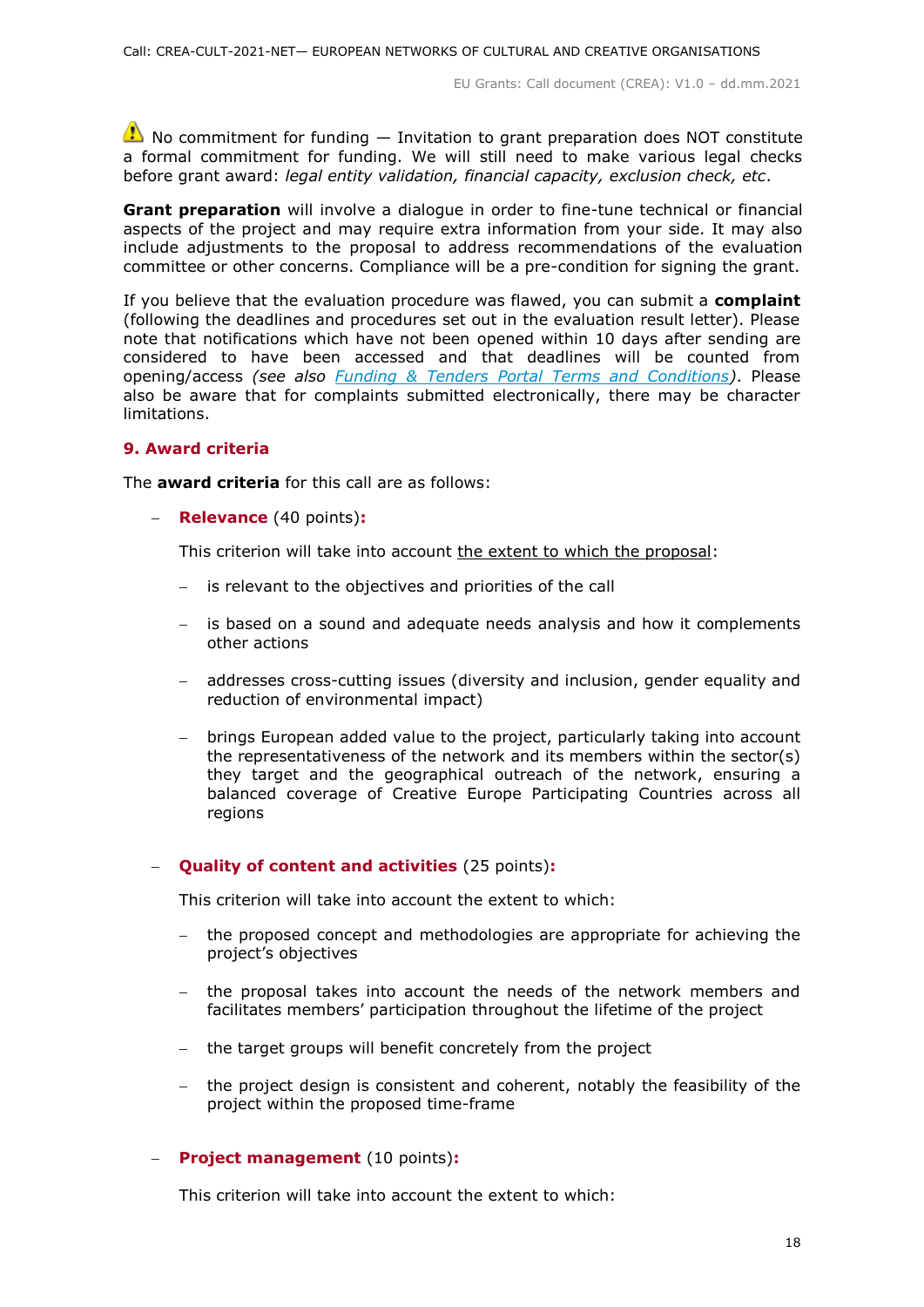$\triangle$  No commitment for funding  $-$  Invitation to grant preparation does NOT constitute a formal commitment for funding. We will still need to make various legal checks before grant award: *legal entity validation, financial capacity, exclusion check, etc*.

**Grant preparation** will involve a dialogue in order to fine-tune technical or financial aspects of the project and may require extra information from your side. It may also include adjustments to the proposal to address recommendations of the evaluation committee or other concerns. Compliance will be a pre-condition for signing the grant.

If you believe that the evaluation procedure was flawed, you can submit a **complaint** (following the deadlines and procedures set out in the evaluation result letter). Please note that notifications which have not been opened within 10 days after sending are considered to have been accessed and that deadlines will be counted from opening/access *(see also [Funding & Tenders Portal Terms and Conditions\)](https://ec.europa.eu/info/funding-tenders/opportunities/docs/2021-2027/common/ftp/tc_en.pdf)*. Please also be aware that for complaints submitted electronically, there may be character limitations.

#### <span id="page-17-0"></span>**9. Award criteria**

The **award criteria** for this call are as follows:

**Relevance** (40 points)**:**

This criterion will take into account the extent to which the proposal:

- $-$  is relevant to the objectives and priorities of the call
- is based on a sound and adequate needs analysis and how it complements other actions
- addresses cross-cutting issues (diversity and inclusion, gender equality and reduction of environmental impact)
- brings European added value to the project, particularly taking into account the representativeness of the network and its members within the sector(s) they target and the geographical outreach of the network, ensuring a balanced coverage of Creative Europe Participating Countries across all regions

# **Quality of content and activities** (25 points)**:**

This criterion will take into account the extent to which:

- the proposed concept and methodologies are appropriate for achieving the project's objectives
- the proposal takes into account the needs of the network members and facilitates members' participation throughout the lifetime of the project
- the target groups will benefit concretely from the project
- the project design is consistent and coherent, notably the feasibility of the project within the proposed time-frame

# **Project management** (10 points)**:**

This criterion will take into account the extent to which: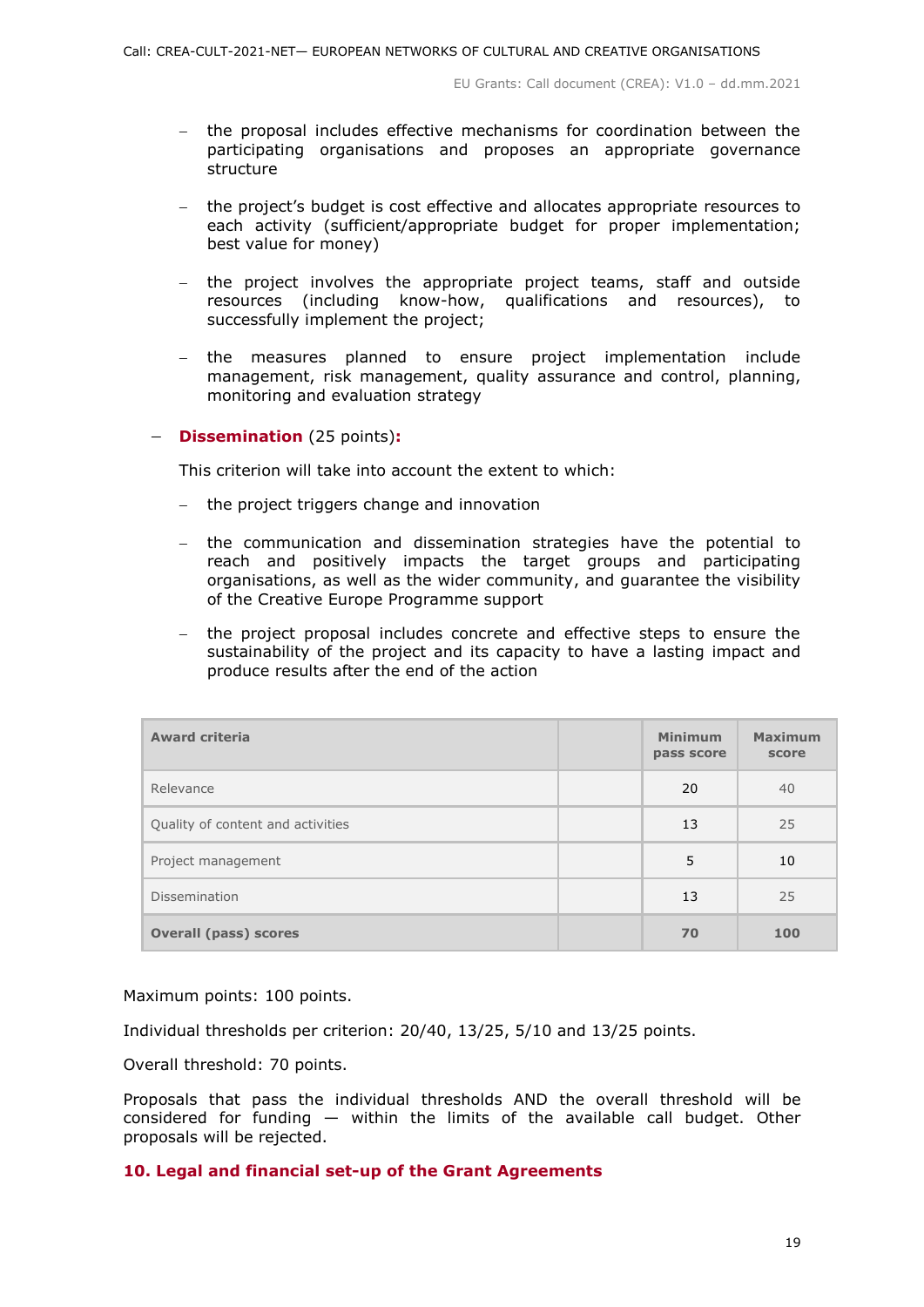- the proposal includes effective mechanisms for coordination between the participating organisations and proposes an appropriate governance structure
- the project's budget is cost effective and allocates appropriate resources to each activity (sufficient/appropriate budget for proper implementation; best value for money)
- the project involves the appropriate project teams, staff and outside resources (including know-how, qualifications and resources), to successfully implement the project;
- the measures planned to ensure project implementation include management, risk management, quality assurance and control, planning, monitoring and evaluation strategy

#### **Dissemination** (25 points)**:**

This criterion will take into account the extent to which:

- $-$  the project triggers change and innovation
- the communication and dissemination strategies have the potential to reach and positively impacts the target groups and participating organisations, as well as the wider community, and guarantee the visibility of the Creative Europe Programme support
- the project proposal includes concrete and effective steps to ensure the sustainability of the project and its capacity to have a lasting impact and produce results after the end of the action

| <b>Award criteria</b>             | <b>Minimum</b><br>pass score | <b>Maximum</b><br>score |
|-----------------------------------|------------------------------|-------------------------|
| Relevance                         | 20                           | 40                      |
| Quality of content and activities | 13                           | 25                      |
| Project management                | 5                            | 10                      |
| Dissemination                     | 13                           | 25                      |
| <b>Overall (pass) scores</b>      | 70                           | 100                     |

Maximum points: 100 points.

Individual thresholds per criterion: 20/40, 13/25, 5/10 and 13/25 points.

Overall threshold: 70 points.

Proposals that pass the individual thresholds AND the overall threshold will be considered for funding  $-$  within the limits of the available call budget. Other proposals will be rejected.

# <span id="page-18-0"></span>**10. Legal and financial set-up of the Grant Agreements**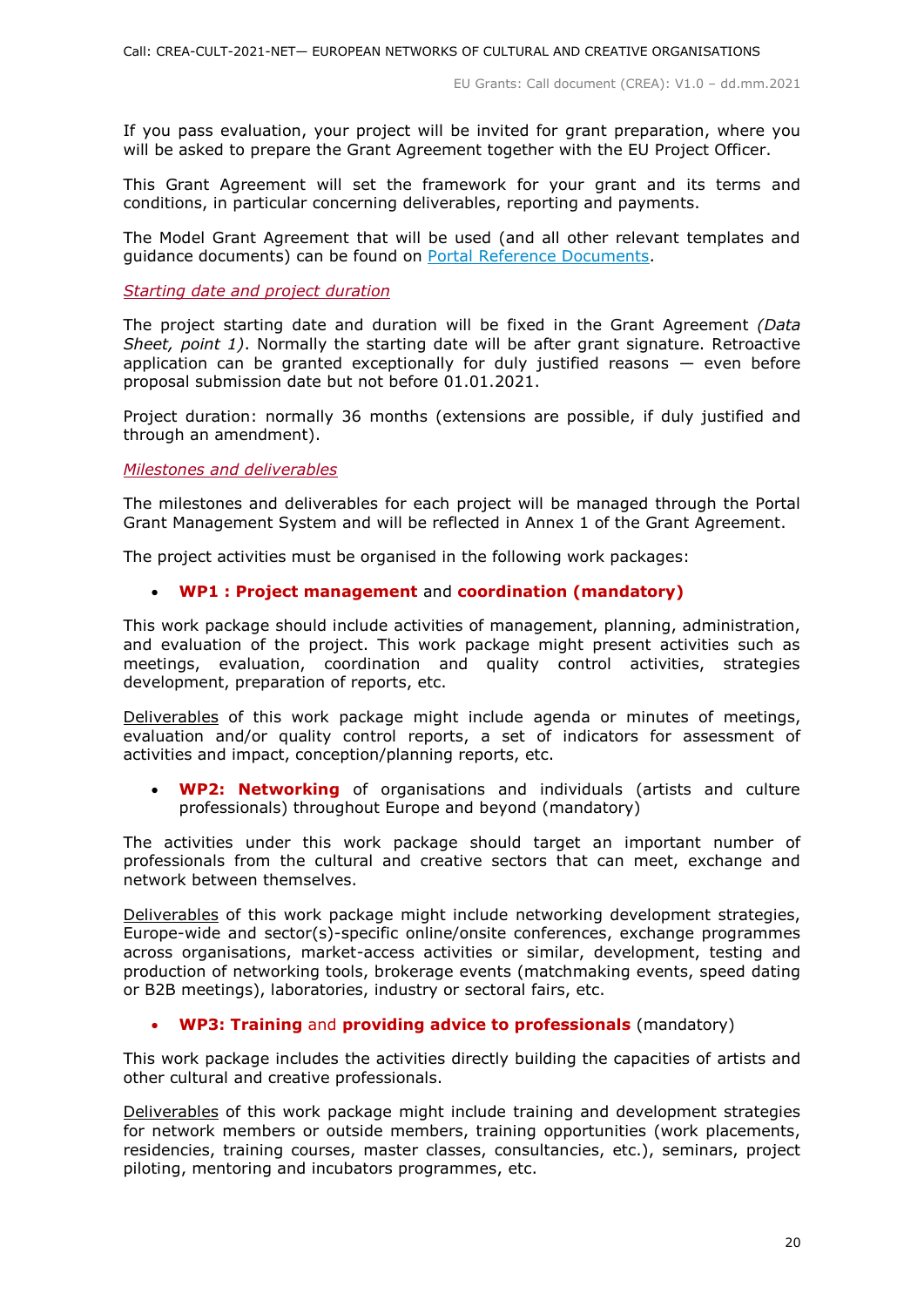If you pass evaluation, your project will be invited for grant preparation, where you will be asked to prepare the Grant Agreement together with the EU Project Officer.

This Grant Agreement will set the framework for your grant and its terms and conditions, in particular concerning deliverables, reporting and payments.

The Model Grant Agreement that will be used (and all other relevant templates and guidance documents) can be found on [Portal Reference Documents.](https://ec.europa.eu/info/funding-tenders/opportunities/portal/screen/how-to-participate/reference-documents)

#### <span id="page-19-0"></span>*Starting date and project duration*

The project starting date and duration will be fixed in the Grant Agreement *(Data Sheet, point 1)*. Normally the starting date will be after grant signature. Retroactive application can be granted exceptionally for duly justified reasons  $-$  even before proposal submission date but not before 01.01.2021.

Project duration: normally 36 months (extensions are possible, if duly justified and through an amendment).

#### <span id="page-19-1"></span>*Milestones and deliverables*

The milestones and deliverables for each project will be managed through the Portal Grant Management System and will be reflected in Annex 1 of the Grant Agreement.

The project activities must be organised in the following work packages:

#### **WP1 : Project management** and **coordination (mandatory)**

This work package should include activities of management, planning, administration, and evaluation of the project. This work package might present activities such as meetings, evaluation, coordination and quality control activities, strategies development, preparation of reports, etc.

Deliverables of this work package might include agenda or minutes of meetings, evaluation and/or quality control reports, a set of indicators for assessment of activities and impact, conception/planning reports, etc.

 **WP2: Networking** of organisations and individuals (artists and culture professionals) throughout Europe and beyond (mandatory)

The activities under this work package should target an important number of professionals from the cultural and creative sectors that can meet, exchange and network between themselves.

Deliverables of this work package might include networking development strategies, Europe-wide and sector(s)-specific online/onsite conferences, exchange programmes across organisations, market-access activities or similar, development, testing and production of networking tools, brokerage events (matchmaking events, speed dating or B2B meetings), laboratories, industry or sectoral fairs, etc.

# **WP3: Training** and **providing advice to professionals** (mandatory)

This work package includes the activities directly building the capacities of artists and other cultural and creative professionals.

Deliverables of this work package might include training and development strategies for network members or outside members, training opportunities (work placements, residencies, training courses, master classes, consultancies, etc.), seminars, project piloting, mentoring and incubators programmes, etc.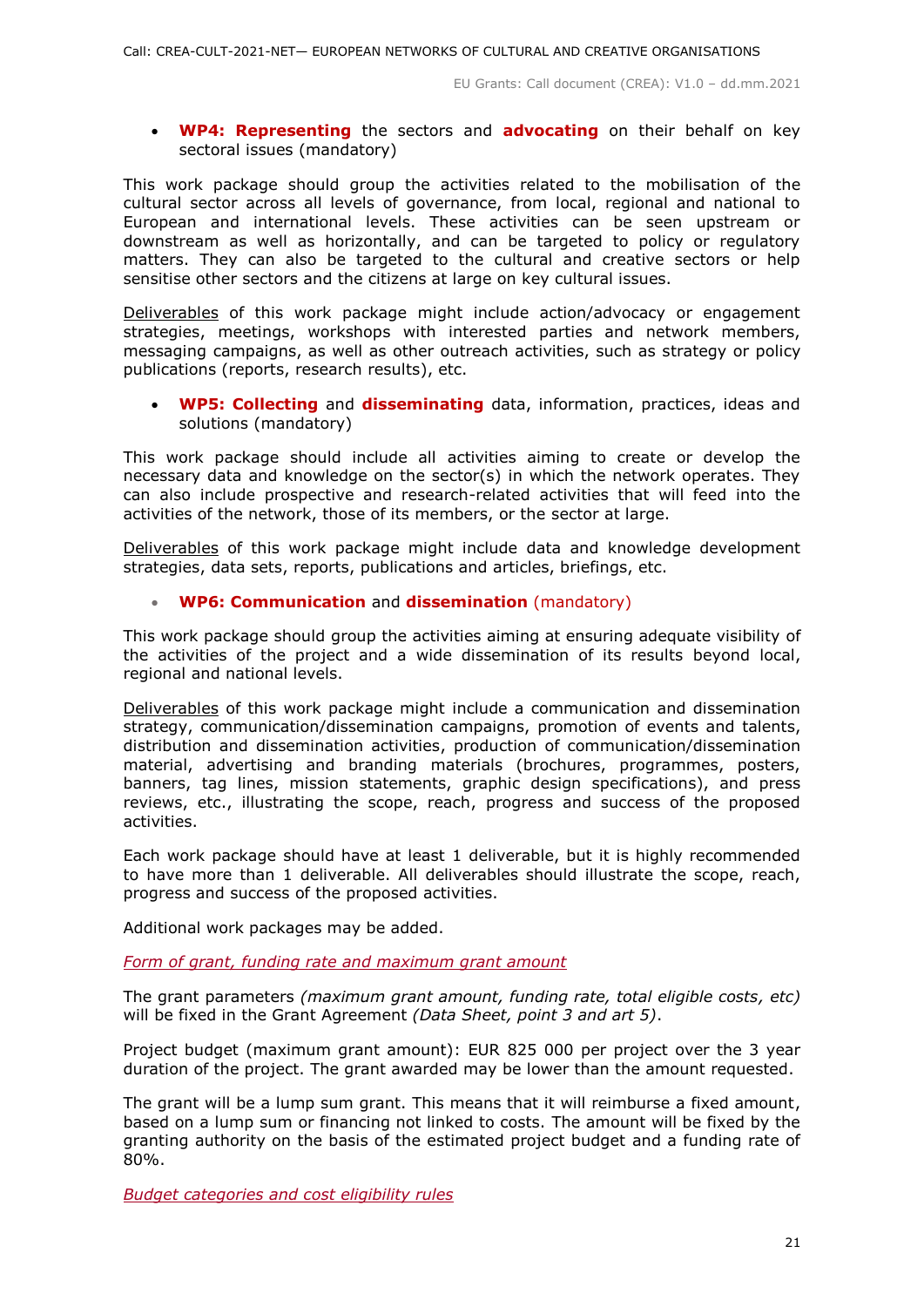**WP4: Representing** the sectors and **advocating** on their behalf on key sectoral issues (mandatory)

This work package should group the activities related to the mobilisation of the cultural sector across all levels of governance, from local, regional and national to European and international levels. These activities can be seen upstream or downstream as well as horizontally, and can be targeted to policy or regulatory matters. They can also be targeted to the cultural and creative sectors or help sensitise other sectors and the citizens at large on key cultural issues.

Deliverables of this work package might include action/advocacy or engagement strategies, meetings, workshops with interested parties and network members, messaging campaigns, as well as other outreach activities, such as strategy or policy publications (reports, research results), etc.

 **WP5: Collecting** and **disseminating** data, information, practices, ideas and solutions (mandatory)

This work package should include all activities aiming to create or develop the necessary data and knowledge on the sector(s) in which the network operates. They can also include prospective and research-related activities that will feed into the activities of the network, those of its members, or the sector at large.

Deliverables of this work package might include data and knowledge development strategies, data sets, reports, publications and articles, briefings, etc.

# **WP6: Communication** and **dissemination** (mandatory)

This work package should group the activities aiming at ensuring adequate visibility of the activities of the project and a wide dissemination of its results beyond local, regional and national levels.

Deliverables of this work package might include a communication and dissemination strategy, communication/dissemination campaigns, promotion of events and talents, distribution and dissemination activities, production of communication/dissemination material, advertising and branding materials (brochures, programmes, posters, banners, tag lines, mission statements, graphic design specifications), and press reviews, etc., illustrating the scope, reach, progress and success of the proposed activities.

Each work package should have at least 1 deliverable, but it is highly recommended to have more than 1 deliverable. All deliverables should illustrate the scope, reach, progress and success of the proposed activities.

Additional work packages may be added.

<span id="page-20-0"></span>*Form of grant, funding rate and maximum grant amount*

The grant parameters *(maximum grant amount, funding rate, total eligible costs, etc)* will be fixed in the Grant Agreement *(Data Sheet, point 3 and art 5)*.

Project budget (maximum grant amount): EUR 825 000 per project over the 3 year duration of the project. The grant awarded may be lower than the amount requested.

The grant will be a lump sum grant. This means that it will reimburse a fixed amount, based on a lump sum or financing not linked to costs. The amount will be fixed by the granting authority on the basis of the estimated project budget and a funding rate of 80%.

<span id="page-20-1"></span>*Budget categories and cost eligibility rules*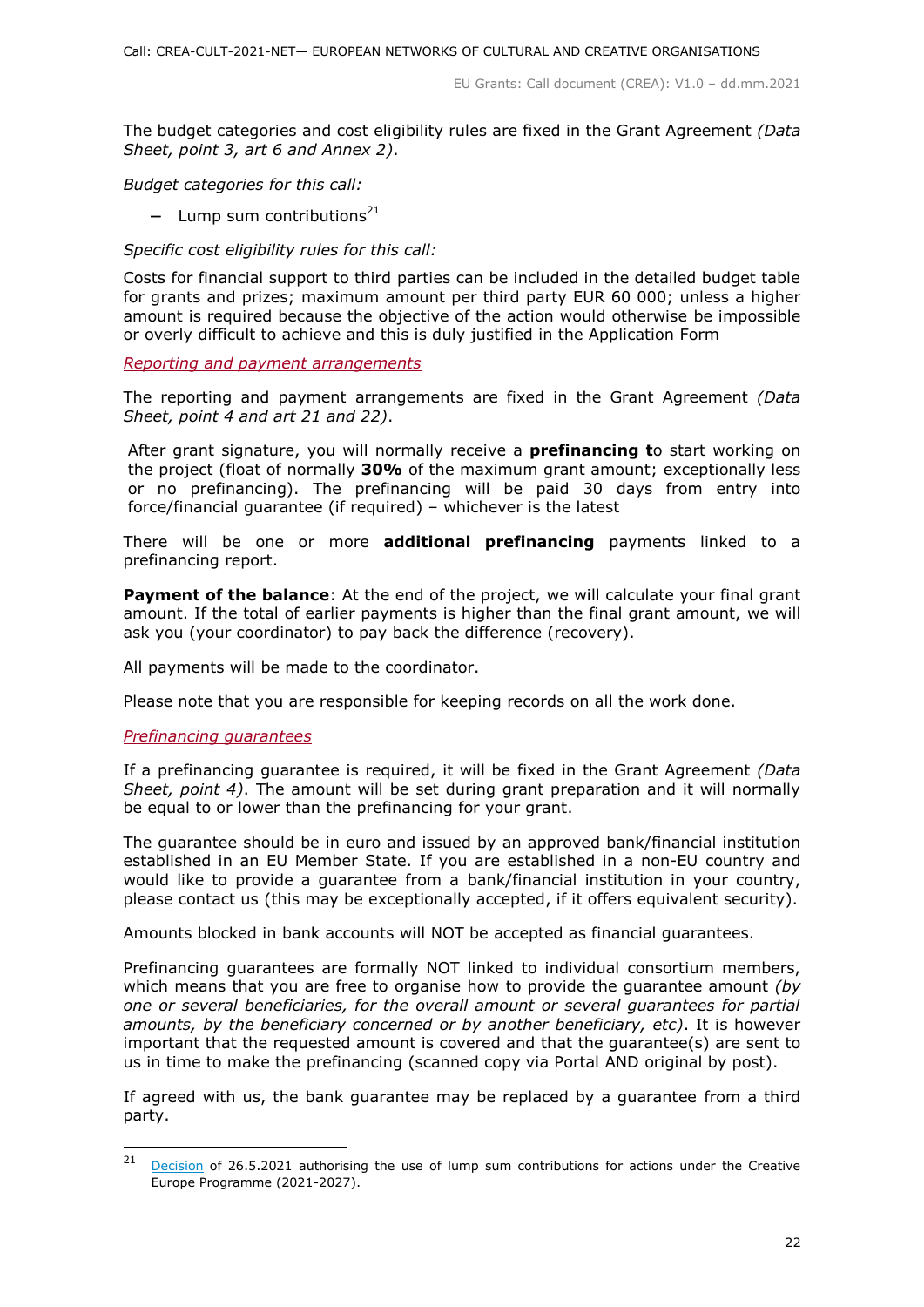The budget categories and cost eligibility rules are fixed in the Grant Agreement *(Data Sheet, point 3, art 6 and Annex 2)*.

*Budget categories for this call:*

- Lump sum contributions<sup>21</sup>

#### *Specific cost eligibility rules for this call:*

Costs for financial support to third parties can be included in the detailed budget table for grants and prizes; maximum amount per third party EUR 60 000; unless a higher amount is required because the objective of the action would otherwise be impossible or overly difficult to achieve and this is duly justified in the Application Form

#### <span id="page-21-0"></span>*Reporting and payment arrangements*

The reporting and payment arrangements are fixed in the Grant Agreement *(Data Sheet, point 4 and art 21 and 22)*.

After grant signature, you will normally receive a **prefinancing t**o start working on the project (float of normally **30%** of the maximum grant amount; exceptionally less or no prefinancing). The prefinancing will be paid 30 days from entry into force/financial guarantee (if required) – whichever is the latest

There will be one or more **additional prefinancing** payments linked to a prefinancing report.

**Payment of the balance**: At the end of the project, we will calculate your final grant amount. If the total of earlier payments is higher than the final grant amount, we will ask you (your coordinator) to pay back the difference (recovery).

All payments will be made to the coordinator.

Please note that you are responsible for keeping records on all the work done.

#### <span id="page-21-1"></span>*Prefinancing guarantees*

If a prefinancing guarantee is required, it will be fixed in the Grant Agreement *(Data Sheet, point 4)*. The amount will be set during grant preparation and it will normally be equal to or lower than the prefinancing for your grant.

The guarantee should be in euro and issued by an approved bank/financial institution established in an EU Member State. If you are established in a non-EU country and would like to provide a guarantee from a bank/financial institution in your country, please contact us (this may be exceptionally accepted, if it offers equivalent security).

Amounts blocked in bank accounts will NOT be accepted as financial guarantees.

Prefinancing guarantees are formally NOT linked to individual consortium members, which means that you are free to organise how to provide the guarantee amount *(by one or several beneficiaries, for the overall amount or several guarantees for partial amounts, by the beneficiary concerned or by another beneficiary, etc)*. It is however important that the requested amount is covered and that the guarantee(s) are sent to us in time to make the prefinancing (scanned copy via Portal AND original by post).

If agreed with us, the bank guarantee may be replaced by a guarantee from a third party.

 $21$ [Decision](https://ec.europa.eu/info/funding-tenders/opportunities/docs/2021-2027/crea/guidance/ls-decision_crea_en.pdf) of 26.5.2021 authorising the use of lump sum contributions for actions under the Creative Europe Programme (2021-2027).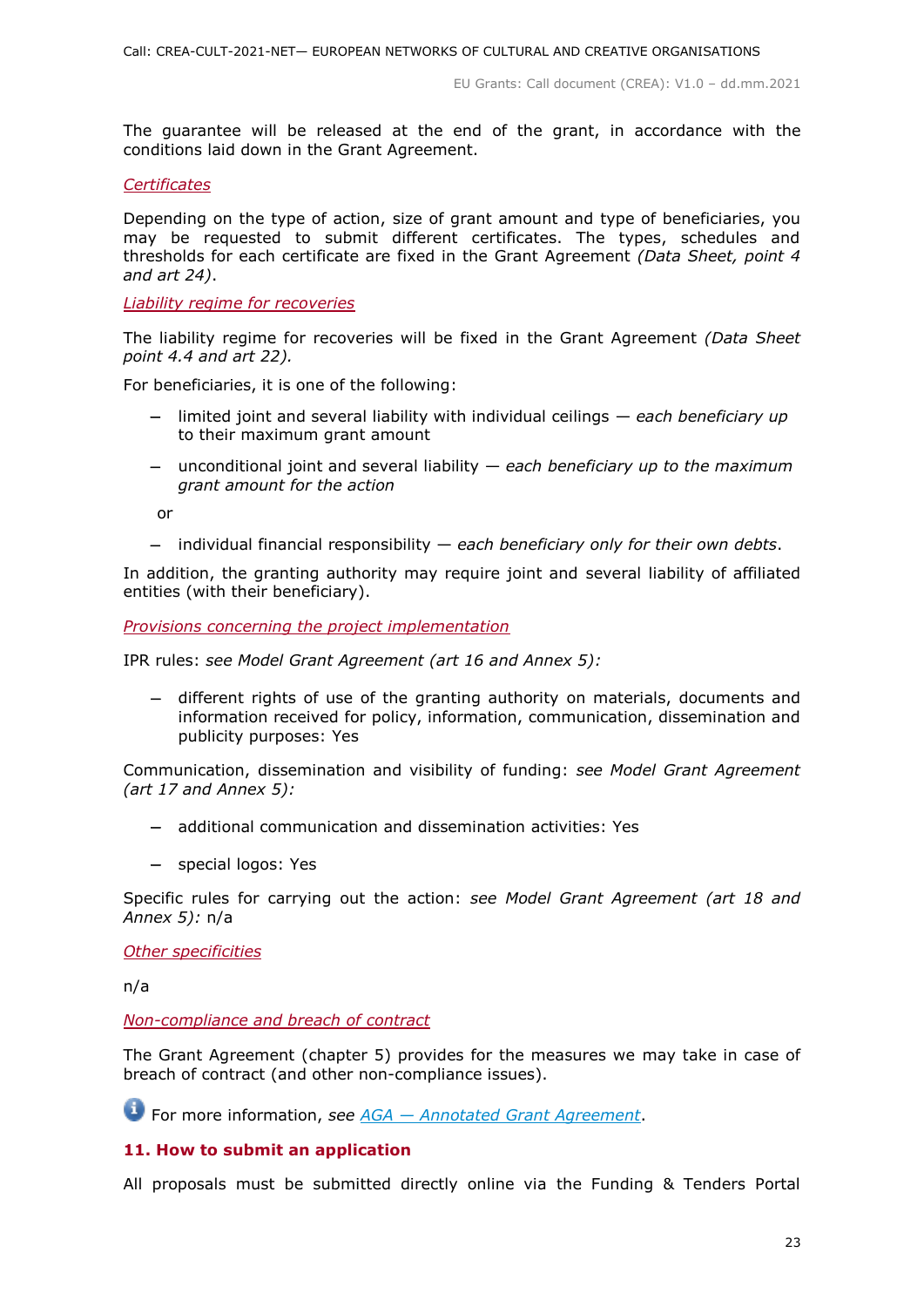The guarantee will be released at the end of the grant, in accordance with the conditions laid down in the Grant Agreement.

#### <span id="page-22-0"></span>*Certificates*

Depending on the type of action, size of grant amount and type of beneficiaries, you may be requested to submit different certificates. The types, schedules and thresholds for each certificate are fixed in the Grant Agreement *(Data Sheet, point 4 and art 24)*.

#### <span id="page-22-1"></span>*Liability regime for recoveries*

The liability regime for recoveries will be fixed in the Grant Agreement *(Data Sheet point 4.4 and art 22).*

For beneficiaries, it is one of the following:

- limited joint and several liability with individual ceilings *each beneficiary up*  to their maximum grant amount
- unconditional joint and several liability *each beneficiary up to the maximum grant amount for the action*

or

individual financial responsibility — *each beneficiary only for their own debts*.

In addition, the granting authority may require joint and several liability of affiliated entities (with their beneficiary).

<span id="page-22-2"></span>*Provisions concerning the project implementation*

IPR rules: *see Model Grant Agreement (art 16 and Annex 5):*

 different rights of use of the granting authority on materials, documents and information received for policy, information, communication, dissemination and publicity purposes: Yes

Communication, dissemination and visibility of funding: *see Model Grant Agreement (art 17 and Annex 5):*

- additional communication and dissemination activities: Yes
- special logos: Yes

Specific rules for carrying out the action: *see Model Grant Agreement (art 18 and Annex 5):* n/a

<span id="page-22-3"></span>*Other specificities*

n/a

<span id="page-22-4"></span>*Non-compliance and breach of contract*

The Grant Agreement (chapter 5) provides for the measures we may take in case of breach of contract (and other non-compliance issues).

For more information, *see AGA — [Annotated Grant Agreement](https://ec.europa.eu/info/funding-tenders/opportunities/docs/2021-2027/common/guidance/aga_en.pdf)*.

# <span id="page-22-5"></span>**11. How to submit an application**

All proposals must be submitted directly online via the Funding & Tenders Portal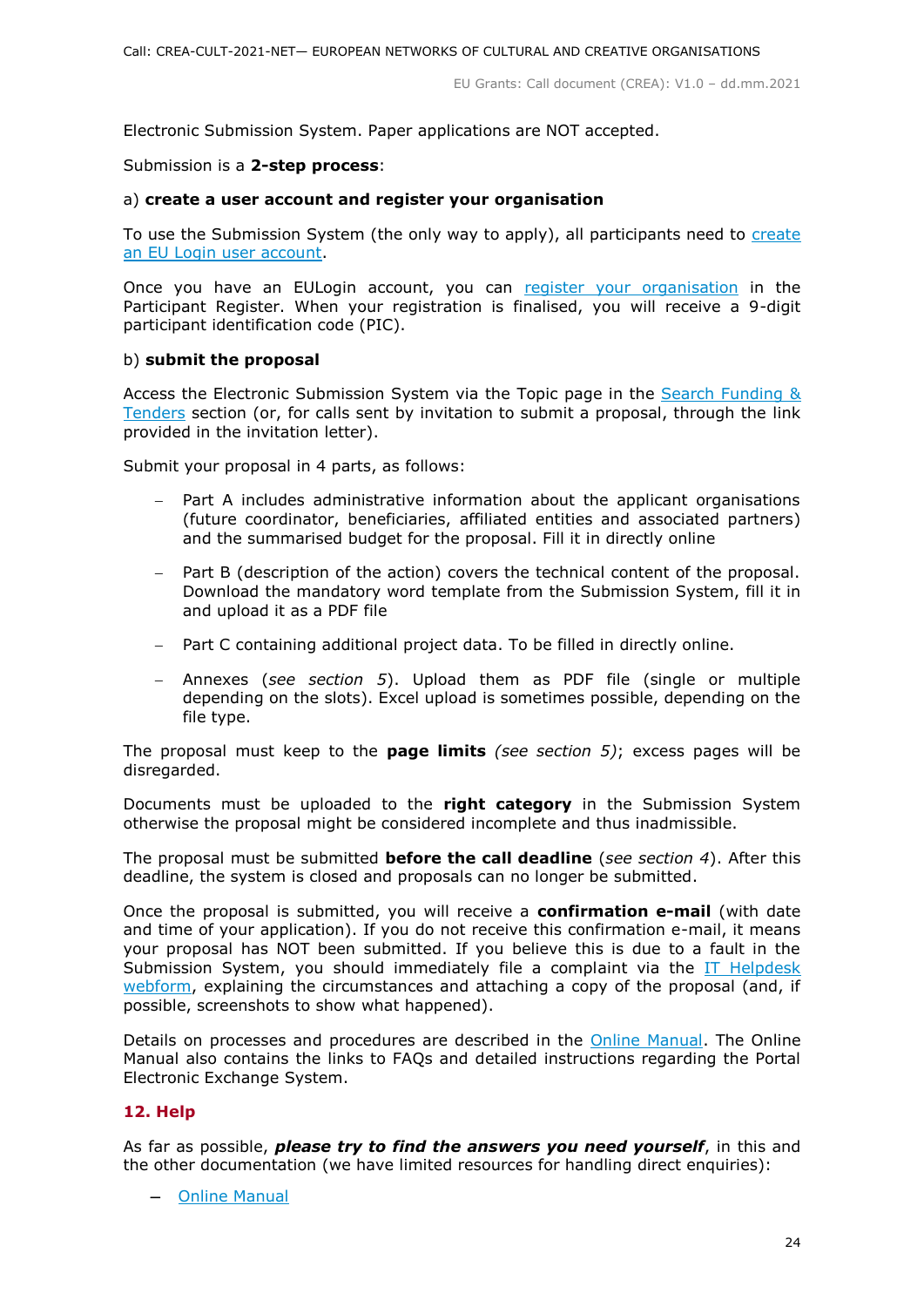Electronic Submission System. Paper applications are NOT accepted.

#### Submission is a **2-step process**:

#### a) **create a user account and register your organisation**

To use the Submission System (the only way to apply), all participants need to [create](https://webgate.ec.europa.eu/cas/eim/external/register.cgi)  an EU Login [user account.](https://webgate.ec.europa.eu/cas/eim/external/register.cgi)

Once you have an EULogin account, you can [register your organisation](https://ec.europa.eu/info/funding-tenders/opportunities/portal/screen/how-to-participate/participant-register) in the Participant Register. When your registration is finalised, you will receive a 9-digit participant identification code (PIC).

#### b) **submit the proposal**

Access the Electronic Submission System via the Topic page in the [Search Funding &](https://ec.europa.eu/info/funding-tenders/opportunities/portal/screen/opportunities/topic-search;freeTextSearchKeyword=;typeCodes=0,1;statusCodes=31094501,31094502,31094503;programCode=null;programDivisionCode=null;focusAreaCode=null;crossCuttingPriorityCode=null;callCode=Default;sortQuery=openingDate;orderBy=asc;onlyTenders=false;topicListKey=topicSearchTablePageState)  [Tenders](https://ec.europa.eu/info/funding-tenders/opportunities/portal/screen/opportunities/topic-search;freeTextSearchKeyword=;typeCodes=0,1;statusCodes=31094501,31094502,31094503;programCode=null;programDivisionCode=null;focusAreaCode=null;crossCuttingPriorityCode=null;callCode=Default;sortQuery=openingDate;orderBy=asc;onlyTenders=false;topicListKey=topicSearchTablePageState) section (or, for calls sent by invitation to submit a proposal, through the link provided in the invitation letter).

Submit your proposal in 4 parts, as follows:

- Part A includes administrative information about the applicant organisations (future coordinator, beneficiaries, affiliated entities and associated partners) and the summarised budget for the proposal. Fill it in directly online
- Part B (description of the action) covers the technical content of the proposal. Download the mandatory word template from the Submission System, fill it in and upload it as a PDF file
- Part C containing additional project data. To be filled in directly online.
- Annexes (*see section 5*). Upload them as PDF file (single or multiple depending on the slots). Excel upload is sometimes possible, depending on the file type.

The proposal must keep to the **page limits** *(see section 5)*; excess pages will be disregarded.

Documents must be uploaded to the **right category** in the Submission System otherwise the proposal might be considered incomplete and thus inadmissible.

The proposal must be submitted **before the call deadline** (*see section 4*). After this deadline, the system is closed and proposals can no longer be submitted.

Once the proposal is submitted, you will receive a **confirmation e-mail** (with date and time of your application). If you do not receive this confirmation e-mail, it means your proposal has NOT been submitted. If you believe this is due to a fault in the Submission System, you should immediately file a complaint via the [IT Helpdesk](https://ec.europa.eu/info/funding-tenders/opportunities/portal/screen/support/helpdesks/contact-form)  [webform,](https://ec.europa.eu/info/funding-tenders/opportunities/portal/screen/support/helpdesks/contact-form) explaining the circumstances and attaching a copy of the proposal (and, if possible, screenshots to show what happened).

Details on processes and procedures are described in the [Online Manual.](https://ec.europa.eu/info/funding-tenders/opportunities/docs/2021-2027/common/guidance/om_en.pdf) The Online Manual also contains the links to FAQs and detailed instructions regarding the Portal Electronic Exchange System.

# <span id="page-23-0"></span>**12. Help**

As far as possible, *please try to find the answers you need yourself*, in this and the other documentation (we have limited resources for handling direct enquiries):

- [Online Manual](https://ec.europa.eu/info/funding-tenders/opportunities/docs/2021-2027/common/guidance/om_en.pdf)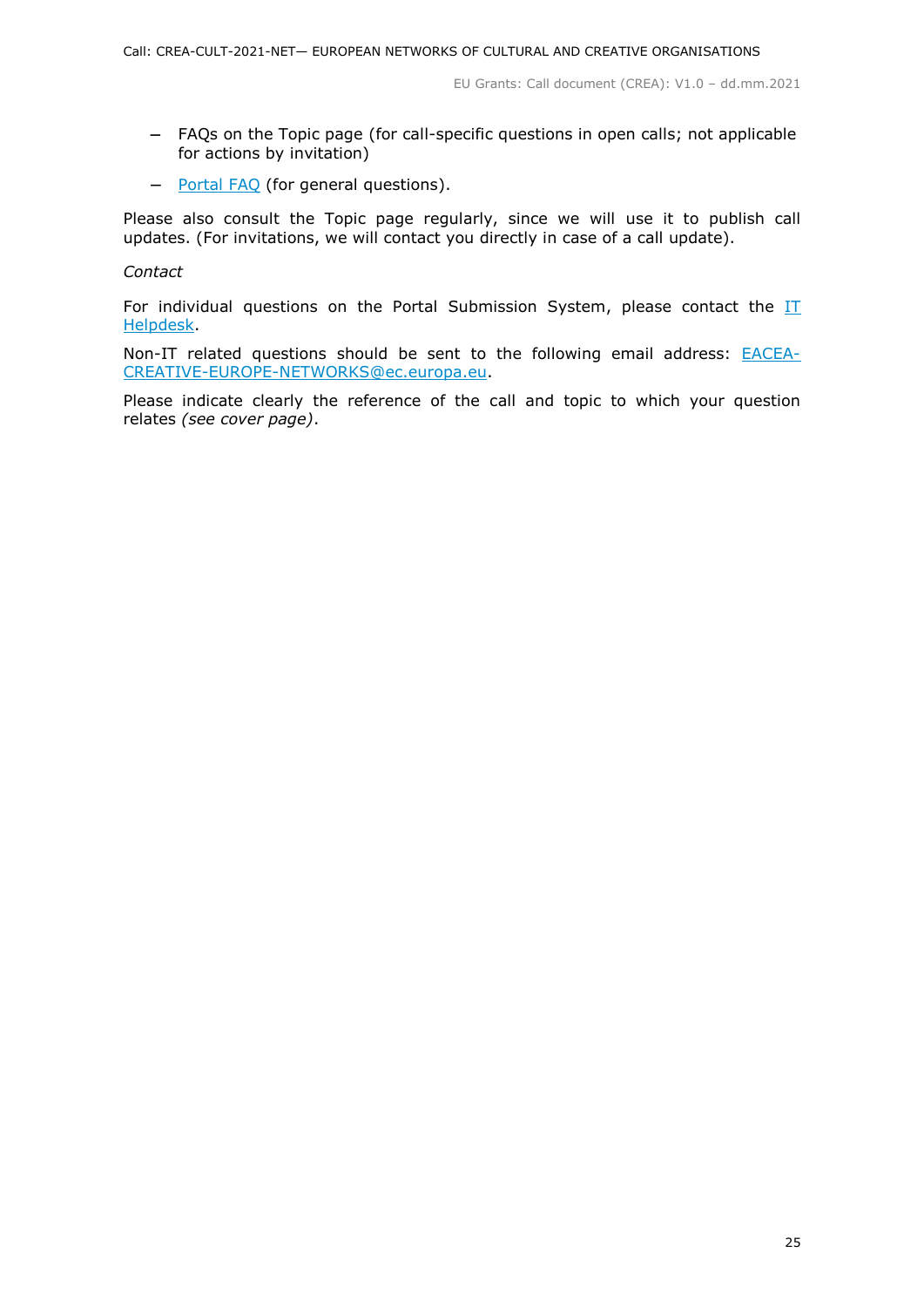- FAQs on the Topic page (for call-specific questions in open calls; not applicable for actions by invitation)
- [Portal FAQ](https://ec.europa.eu/info/funding-tenders/opportunities/portal/screen/support/faq;categories=;programme=null;actions=;keyword=) (for general questions).

Please also consult the Topic page regularly, since we will use it to publish call updates. (For invitations, we will contact you directly in case of a call update).

*Contact*

For individual questions on the Portal Submission System, please contact the  $II$ [Helpdesk.](https://ec.europa.eu/info/funding-tenders/opportunities/portal/screen/support/helpdesks/contact-form)

Non-IT related questions should be sent to the following email address: **[EACEA-](mailto:EACEA-CREATIVE-EUROPE-NETWORKS@ec.europa.eu)**[CREATIVE-EUROPE-NETWORKS@ec.europa.eu.](mailto:EACEA-CREATIVE-EUROPE-NETWORKS@ec.europa.eu)

Please indicate clearly the reference of the call and topic to which your question relates *(see cover page)*.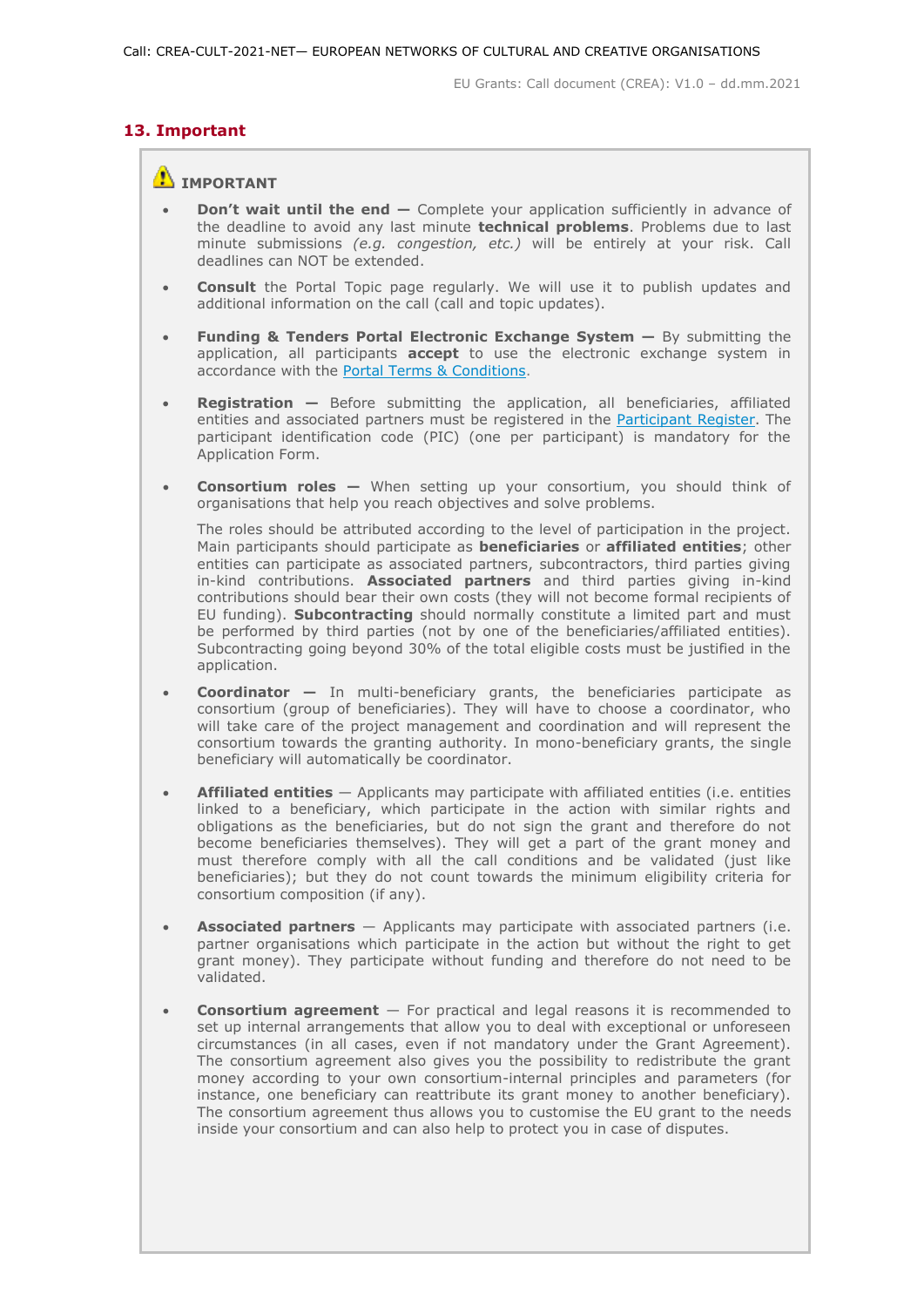# <span id="page-25-0"></span>**13. Important**

# **IMPORTANT**

- **Don't wait until the end —** Complete your application sufficiently in advance of the deadline to avoid any last minute **technical problems**. Problems due to last minute submissions *(e.g. congestion, etc.)* will be entirely at your risk. Call deadlines can NOT be extended.
- **Consult** the Portal Topic page regularly. We will use it to publish updates and additional information on the call (call and topic updates).
- **Funding & Tenders Portal Electronic Exchange System —** By submitting the application, all participants **accept** to use the electronic exchange system in accordance with the [Portal Terms & Conditions.](https://ec.europa.eu/info/funding-tenders/opportunities/docs/2021-2027/common/ftp/tc_en.pdf)
- **Registration —** Before submitting the application, all beneficiaries, affiliated entities and associated partners must be registered in the [Participant Register.](https://ec.europa.eu/info/funding-tenders/opportunities/portal/screen/how-to-participate/participant-register) The participant identification code (PIC) (one per participant) is mandatory for the Application Form.
- **Consortium roles —** When setting up your consortium, you should think of organisations that help you reach objectives and solve problems.

The roles should be attributed according to the level of participation in the project. Main participants should participate as **beneficiaries** or **affiliated entities**; other entities can participate as associated partners, subcontractors, third parties giving in-kind contributions. **Associated partners** and third parties giving in-kind contributions should bear their own costs (they will not become formal recipients of EU funding). **Subcontracting** should normally constitute a limited part and must be performed by third parties (not by one of the beneficiaries/affiliated entities). Subcontracting going beyond 30% of the total eligible costs must be justified in the application.

- **Coordinator —** In multi-beneficiary grants, the beneficiaries participate as consortium (group of beneficiaries). They will have to choose a coordinator, who will take care of the project management and coordination and will represent the consortium towards the granting authority. In mono-beneficiary grants, the single beneficiary will automatically be coordinator.
- **Affiliated entities** Applicants may participate with affiliated entities (i.e. entities linked to a beneficiary, which participate in the action with similar rights and obligations as the beneficiaries, but do not sign the grant and therefore do not become beneficiaries themselves). They will get a part of the grant money and must therefore comply with all the call conditions and be validated (just like beneficiaries); but they do not count towards the minimum eligibility criteria for consortium composition (if any).
- **Associated partners** Applicants may participate with associated partners (i.e. partner organisations which participate in the action but without the right to get grant money). They participate without funding and therefore do not need to be validated.
- **Consortium agreement**  For practical and legal reasons it is recommended to set up internal arrangements that allow you to deal with exceptional or unforeseen circumstances (in all cases, even if not mandatory under the Grant Agreement). The consortium agreement also gives you the possibility to redistribute the grant money according to your own consortium-internal principles and parameters (for instance, one beneficiary can reattribute its grant money to another beneficiary). The consortium agreement thus allows you to customise the EU grant to the needs inside your consortium and can also help to protect you in case of disputes.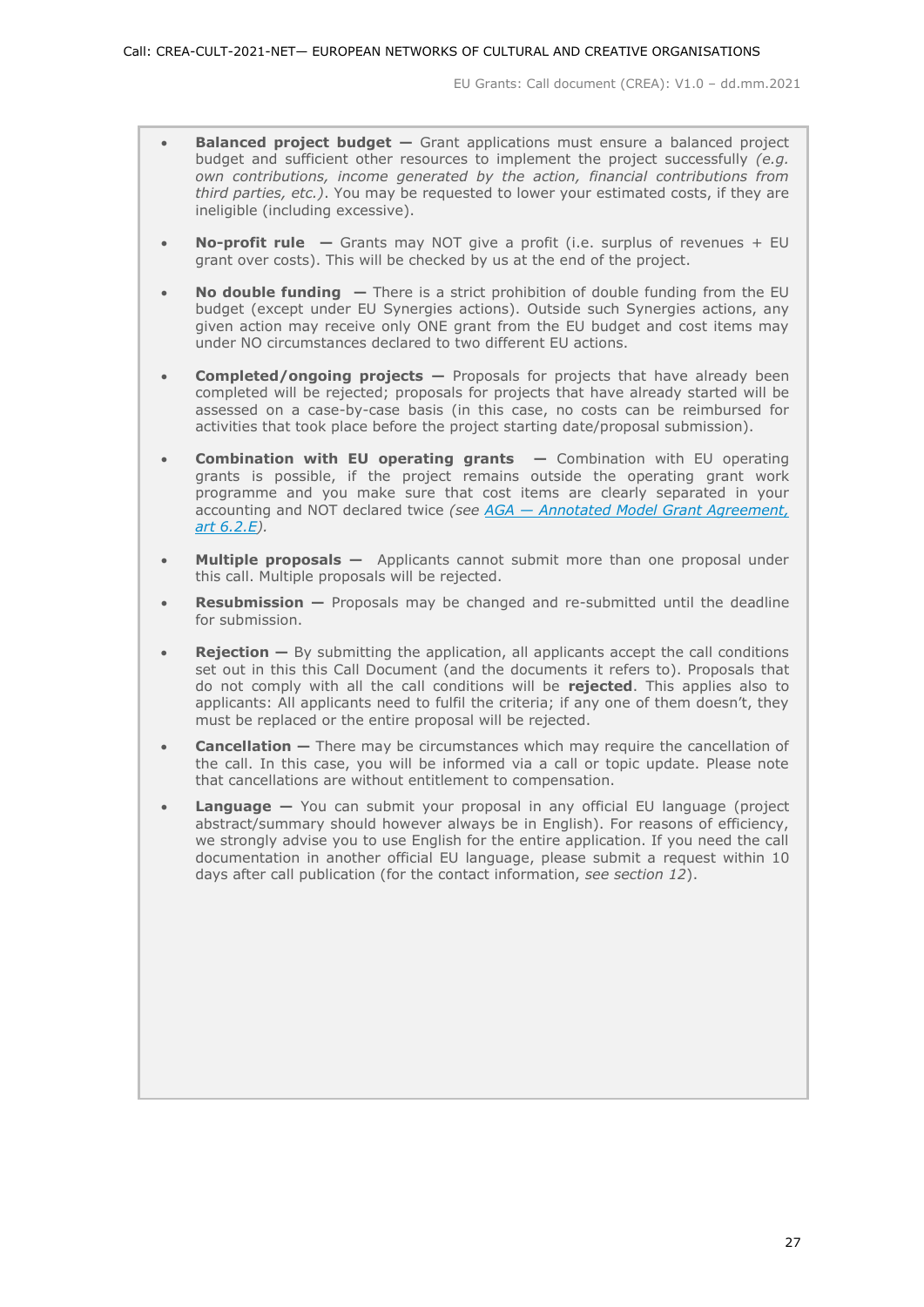- **Balanced project budget –** Grant applications must ensure a balanced project budget and sufficient other resources to implement the project successfully *(e.g. own contributions, income generated by the action, financial contributions from third parties, etc.)*. You may be requested to lower your estimated costs, if they are ineligible (including excessive).
- **No-profit rule —** Grants may NOT give a profit (i.e. surplus of revenues + EU grant over costs). This will be checked by us at the end of the project.
- **No double funding —** There is a strict prohibition of double funding from the EU budget (except under EU Synergies actions). Outside such Synergies actions, any given action may receive only ONE grant from the EU budget and cost items may under NO circumstances declared to two different EU actions.
- **Completed/ongoing projects —** Proposals for projects that have already been completed will be rejected; proposals for projects that have already started will be assessed on a case-by-case basis (in this case, no costs can be reimbursed for activities that took place before the project starting date/proposal submission).
- **Combination with EU operating grants —** Combination with EU operating grants is possible, if the project remains outside the operating grant work programme and you make sure that cost items are clearly separated in your accounting and NOT declared twice *(see AGA — [Annotated Model Grant Agreement,](https://ec.europa.eu/info/funding-tenders/opportunities/docs/2021-2027/common/guidance/aga_en.pdf)  [art 6.2.E\)](https://ec.europa.eu/info/funding-tenders/opportunities/docs/2021-2027/common/guidance/aga_en.pdf).*
- **Multiple proposals —** Applicants cannot submit more than one proposal under this call. Multiple proposals will be rejected.
- **Resubmission —** Proposals may be changed and re-submitted until the deadline for submission.
- **Rejection –** By submitting the application, all applicants accept the call conditions set out in this this Call Document (and the documents it refers to). Proposals that do not comply with all the call conditions will be **rejected**. This applies also to applicants: All applicants need to fulfil the criteria; if any one of them doesn't, they must be replaced or the entire proposal will be rejected.
- **Cancellation –** There may be circumstances which may require the cancellation of the call. In this case, you will be informed via a call or topic update. Please note that cancellations are without entitlement to compensation.
- **Language —** You can submit your proposal in any official EU language (project abstract/summary should however always be in English). For reasons of efficiency, we strongly advise you to use English for the entire application. If you need the call documentation in another official EU language, please submit a request within 10 days after call publication (for the contact information, *see section 12*).